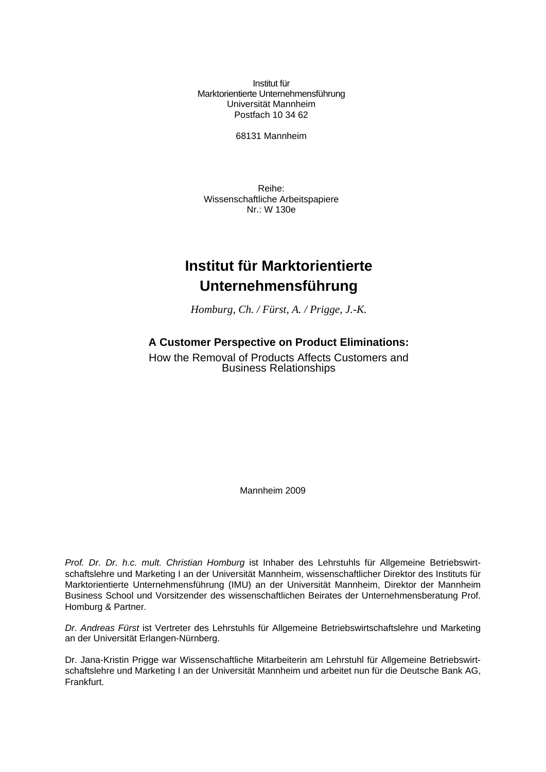Institut für Marktorientierte Unternehmensführung Universität Mannheim Postfach 10 34 62

68131 Mannheim

Reihe: Wissenschaftliche Arbeitspapiere Nr.: W 130e

# **Institut für Marktorientierte Unternehmensführung**

*Homburg, Ch. / Fürst, A. / Prigge, J.-K.* 

#### **A Customer Perspective on Product Eliminations:**

How the Removal of Products Affects Customers and Business Relationships

Mannheim 2009

*Prof. Dr. Dr. h.c. mult. Christian Homburg* ist Inhaber des Lehrstuhls für Allgemeine Betriebswirtschaftslehre und Marketing I an der Universität Mannheim, wissenschaftlicher Direktor des Instituts für Marktorientierte Unternehmensführung (IMU) an der Universität Mannheim, Direktor der Mannheim Business School und Vorsitzender des wissenschaftlichen Beirates der Unternehmensberatung Prof. Homburg & Partner.

*Dr. Andreas Fürst* ist Vertreter des Lehrstuhls für Allgemeine Betriebswirtschaftslehre und Marketing an der Universität Erlangen-Nürnberg.

Dr. Jana-Kristin Prigge war Wissenschaftliche Mitarbeiterin am Lehrstuhl für Allgemeine Betriebswirtschaftslehre und Marketing I an der Universität Mannheim und arbeitet nun für die Deutsche Bank AG, Frankfurt.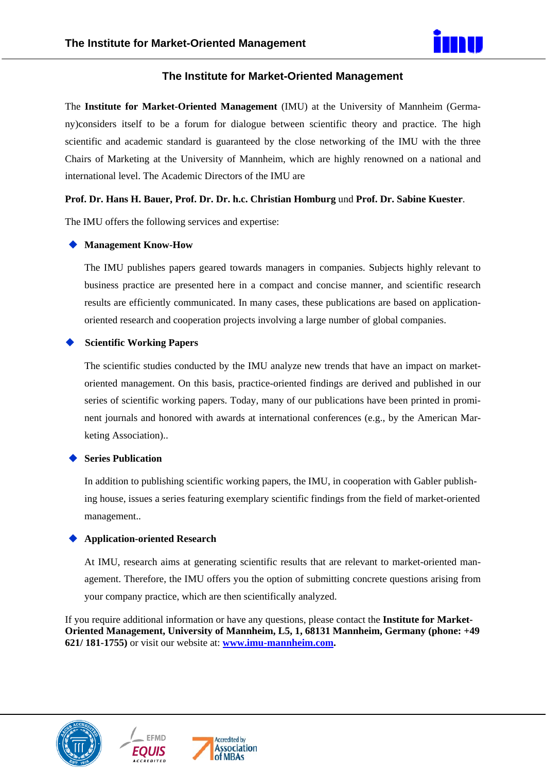

#### **The Institute for Market-Oriented Management**

The **Institute for Market-Oriented Management** (IMU) at the University of Mannheim (Germany)considers itself to be a forum for dialogue between scientific theory and practice. The high scientific and academic standard is guaranteed by the close networking of the IMU with the three Chairs of Marketing at the University of Mannheim, which are highly renowned on a national and international level. The Academic Directors of the IMU are

#### **Prof. Dr. Hans H. Bauer, Prof. Dr. Dr. h.c. Christian Homburg** und **Prof. Dr. Sabine Kuester**.

The IMU offers the following services and expertise:

#### **Management Know-How**

The IMU publishes papers geared towards managers in companies. Subjects highly relevant to business practice are presented here in a compact and concise manner, and scientific research results are efficiently communicated. In many cases, these publications are based on applicationoriented research and cooperation projects involving a large number of global companies.

#### **Scientific Working Papers**

The scientific studies conducted by the IMU analyze new trends that have an impact on marketoriented management. On this basis, practice-oriented findings are derived and published in our series of scientific working papers. Today, many of our publications have been printed in prominent journals and honored with awards at international conferences (e.g., by the American Marketing Association)..

#### **Series Publication**

In addition to publishing scientific working papers, the IMU, in cooperation with Gabler publishing house, issues a series featuring exemplary scientific findings from the field of market-oriented management..

#### **Application-oriented Research**

At IMU, research aims at generating scientific results that are relevant to market-oriented management. Therefore, the IMU offers you the option of submitting concrete questions arising from your company practice, which are then scientifically analyzed.

If you require additional information or have any questions, please contact the **Institute for Market-Oriented Management, University of Mannheim, L5, 1, 68131 Mannheim, Germany (phone: +49 621/ 181-1755)** or visit our website at: **www.imu-mannheim.com.** 





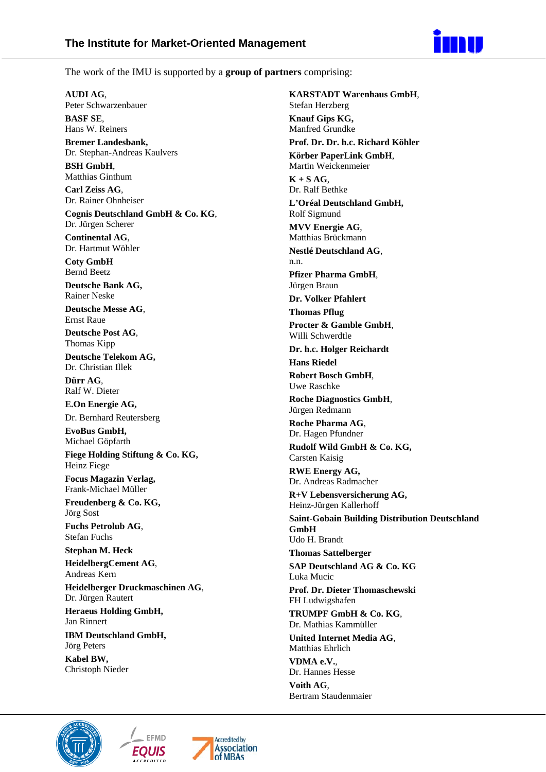

The work of the IMU is supported by a **group of partners** comprising:

**AUDI AG**, Peter Schwarzenbauer

**BASF SE**, Hans W. Reiners

**Bremer Landesbank,**  Dr. Stephan-Andreas Kaulvers

**BSH GmbH**, Matthias Ginthum

**Carl Zeiss AG**, Dr. Rainer Ohnheiser

**Cognis Deutschland GmbH & Co. KG**, Dr. Jürgen Scherer

**Continental AG**, Dr. Hartmut Wöhler

**Coty GmbH**  Bernd Beetz

**Deutsche Bank AG,**  Rainer Neske

**Deutsche Messe AG**, Ernst Raue

**Deutsche Post AG**, Thomas Kipp

**Deutsche Telekom AG,**  Dr. Christian Illek

**Dürr AG**, Ralf W. Dieter

**E.On Energie AG,** 

Dr. Bernhard Reutersberg

**EvoBus GmbH,**  Michael Göpfarth **Fiege Holding Stiftung & Co. KG,** 

Heinz Fiege

**Focus Magazin Verlag,**  Frank-Michael Müller

**Freudenberg & Co. KG,**  Jörg Sost

**Fuchs Petrolub AG**, Stefan Fuchs

**Stephan M. Heck HeidelbergCement AG**, Andreas Kern

**Heidelberger Druckmaschinen AG**, Dr. Jürgen Rautert

**Heraeus Holding GmbH,**  Jan Rinnert

**IBM Deutschland GmbH,**  Jörg Peters

**Kabel BW,**  Christoph Nieder

**KARSTADT Warenhaus GmbH**, Stefan Herzberg **Knauf Gips KG,**  Manfred Grundke **Prof. Dr. Dr. h.c. Richard Köhler Körber PaperLink GmbH**, Martin Weickenmeier  $K + S AG$ Dr. Ralf Bethke **L'Oréal Deutschland GmbH,**  Rolf Sigmund **MVV Energie AG**, Matthias Brückmann **Nestlé Deutschland AG**, n.n. **Pfizer Pharma GmbH**, Jürgen Braun **Dr. Volker Pfahlert Thomas Pflug Procter & Gamble GmbH**, Willi Schwerdtle **Dr. h.c. Holger Reichardt Hans Riedel Robert Bosch GmbH**, Uwe Raschke **Roche Diagnostics GmbH**, Jürgen Redmann **Roche Pharma AG**, Dr. Hagen Pfundner **Rudolf Wild GmbH & Co. KG,**  Carsten Kaisig **RWE Energy AG,**  Dr. Andreas Radmacher **R+V Lebensversicherung AG,**  Heinz-Jürgen Kallerhoff **Saint-Gobain Building Distribution Deutschland GmbH**  Udo H. Brandt **Thomas Sattelberger SAP Deutschland AG & Co. KG**  Luka Mucic **Prof. Dr. Dieter Thomaschewski**  FH Ludwigshafen **TRUMPF GmbH & Co. KG**, Dr. Mathias Kammüller **United Internet Media AG**, Matthias Ehrlich **VDMA e.V.**, Dr. Hannes Hesse

**Voith AG**, Bertram Staudenmaier





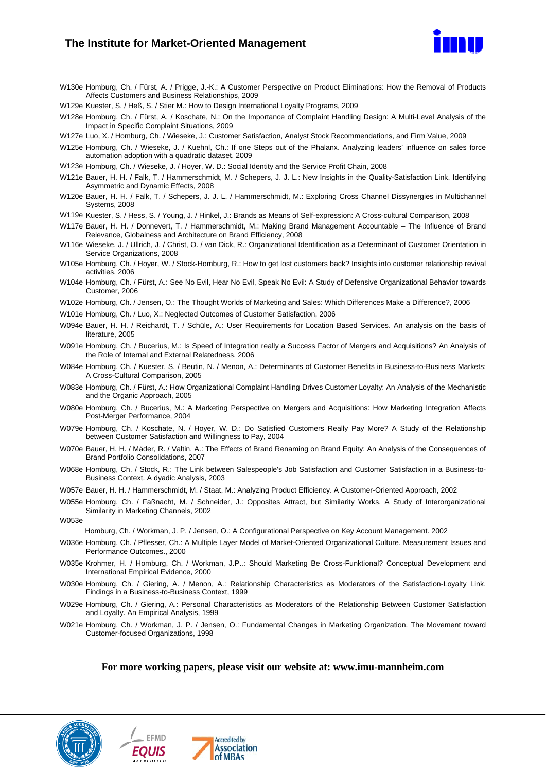

- W130e Homburg, Ch. / Fürst, A. / Prigge, J.-K.: A Customer Perspective on Product Eliminations: How the Removal of Products Affects Customers and Business Relationships, 2009
- W129e Kuester, S. / Heß, S. / Stier M.: How to Design International Loyalty Programs, 2009
- W128e Homburg, Ch. / Fürst, A. / Koschate, N.: On the Importance of Complaint Handling Design: A Multi-Level Analysis of the Impact in Specific Complaint Situations, 2009
- W127e Luo, X. / Homburg, Ch. / Wieseke, J.: Customer Satisfaction, Analyst Stock Recommendations, and Firm Value, 2009
- W125e Homburg, Ch. / Wieseke, J. / Kuehnl, Ch.: If one Steps out of the Phalanx. Analyzing leaders' influence on sales force automation adoption with a quadratic dataset, 2009
- W123e Homburg, Ch. / Wieseke, J. / Hoyer, W. D.: Social Identity and the Service Profit Chain, 2008
- W121e Bauer, H. H. / Falk, T. / Hammerschmidt, M. / Schepers, J. J. L.: New Insights in the Quality-Satisfaction Link. Identifying Asymmetric and Dynamic Effects, 2008
- W120e Bauer, H. H. / Falk, T. / Schepers, J. J. L. / Hammerschmidt, M.: Exploring Cross Channel Dissynergies in Multichannel Systems, 2008
- W119e Kuester, S. / Hess, S. / Young, J. / Hinkel, J.: Brands as Means of Self-expression: A Cross-cultural Comparison, 2008
- W117e Bauer, H. H. / Donnevert, T. / Hammerschmidt, M.: Making Brand Management Accountable The Influence of Brand Relevance, Globalness and Architecture on Brand Efficiency, 2008
- W116e Wieseke, J. / Ullrich, J. / Christ, O. / van Dick, R.: Organizational Identification as a Determinant of Customer Orientation in Service Organizations, 2008
- W105e Homburg, Ch. / Hoyer, W. / Stock-Homburg, R.: How to get lost customers back? Insights into customer relationship revival activities, 2006
- W104e Homburg, Ch. / Fürst, A.: See No Evil, Hear No Evil, Speak No Evil: A Study of Defensive Organizational Behavior towards Customer, 2006
- W102e Homburg, Ch. / Jensen, O.: The Thought Worlds of Marketing and Sales: Which Differences Make a Difference?, 2006
- W101e Homburg, Ch. / Luo, X.: Neglected Outcomes of Customer Satisfaction, 2006
- W094e Bauer, H. H. / Reichardt, T. / Schüle, A.: User Requirements for Location Based Services. An analysis on the basis of literature, 2005
- W091e Homburg, Ch. / Bucerius, M.: Is Speed of Integration really a Success Factor of Mergers and Acquisitions? An Analysis of the Role of Internal and External Relatedness, 2006
- W084e Homburg, Ch. / Kuester, S. / Beutin, N. / Menon, A.: Determinants of Customer Benefits in Business-to-Business Markets: A Cross-Cultural Comparison, 2005
- W083e Homburg, Ch. / Fürst, A.: How Organizational Complaint Handling Drives Customer Loyalty: An Analysis of the Mechanistic and the Organic Approach, 2005
- W080e Homburg, Ch. / Bucerius, M.: A Marketing Perspective on Mergers and Acquisitions: How Marketing Integration Affects Post-Merger Performance, 2004
- W079e Homburg, Ch. / Koschate, N. / Hoyer, W. D.: Do Satisfied Customers Really Pay More? A Study of the Relationship between Customer Satisfaction and Willingness to Pay, 2004
- W070e Bauer, H. H. / Mäder, R. / Valtin, A.: The Effects of Brand Renaming on Brand Equity: An Analysis of the Consequences of Brand Portfolio Consolidations, 2007
- W068e Homburg, Ch. / Stock, R.: The Link between Salespeople's Job Satisfaction and Customer Satisfaction in a Business-to-Business Context. A dyadic Analysis, 2003
- W057e Bauer, H. H. / Hammerschmidt, M. / Staat, M.: Analyzing Product Efficiency. A Customer-Oriented Approach, 2002
- W055e Homburg, Ch. / Faßnacht, M. / Schneider, J.: Opposites Attract, but Similarity Works. A Study of Interorganizational Similarity in Marketing Channels, 2002

W053e

Homburg, Ch. / Workman, J. P. / Jensen, O.: A Configurational Perspective on Key Account Management. 2002

- W036e Homburg, Ch. / Pflesser, Ch.: A Multiple Layer Model of Market-Oriented Organizational Culture. Measurement Issues and Performance Outcomes., 2000
- W035e Krohmer, H. / Homburg, Ch. / Workman, J.P..: Should Marketing Be Cross-Funktional? Conceptual Development and International Empirical Evidence, 2000
- W030e Homburg, Ch. / Giering, A. / Menon, A.: Relationship Characteristics as Moderators of the Satisfaction-Loyalty Link. Findings in a Business-to-Business Context, 1999
- W029e Homburg, Ch. / Giering, A.: Personal Characteristics as Moderators of the Relationship Between Customer Satisfaction and Loyalty. An Empirical Analysis, 1999
- W021e Homburg, Ch. / Workman, J. P. / Jensen, O.: Fundamental Changes in Marketing Organization. The Movement toward Customer-focused Organizations, 1998

**For more working papers, please visit our website at: www.imu-mannheim.com** 





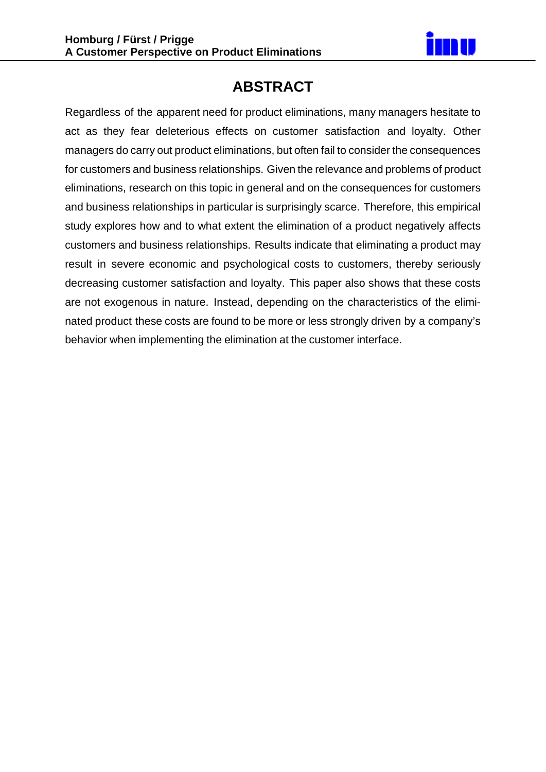

## **ABSTRACT**

Regardless of the apparent need for product eliminations, many managers hesitate to act as they fear deleterious effects on customer satisfaction and loyalty. Other managers do carry out product eliminations, but often fail to consider the consequences for customers and business relationships. Given the relevance and problems of product eliminations, research on this topic in general and on the consequences for customers and business relationships in particular is surprisingly scarce. Therefore, this empirical study explores how and to what extent the elimination of a product negatively affects customers and business relationships. Results indicate that eliminating a product may result in severe economic and psychological costs to customers, thereby seriously decreasing customer satisfaction and loyalty. This paper also shows that these costs are not exogenous in nature. Instead, depending on the characteristics of the eliminated product these costs are found to be more or less strongly driven by a company's behavior when implementing the elimination at the customer interface.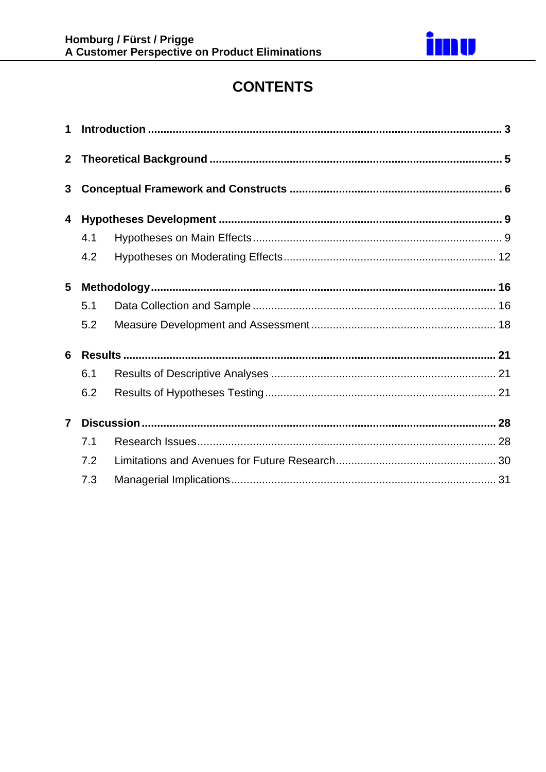

# **CONTENTS**

| $\mathbf{3}$   |     |  |  |  |  |  |  |
|----------------|-----|--|--|--|--|--|--|
| 4              |     |  |  |  |  |  |  |
|                | 4.1 |  |  |  |  |  |  |
|                | 4.2 |  |  |  |  |  |  |
| 5              |     |  |  |  |  |  |  |
|                | 5.1 |  |  |  |  |  |  |
|                | 5.2 |  |  |  |  |  |  |
| 6              |     |  |  |  |  |  |  |
|                | 6.1 |  |  |  |  |  |  |
|                | 6.2 |  |  |  |  |  |  |
| $\overline{7}$ |     |  |  |  |  |  |  |
|                | 7.1 |  |  |  |  |  |  |
|                | 7.2 |  |  |  |  |  |  |
|                | 7.3 |  |  |  |  |  |  |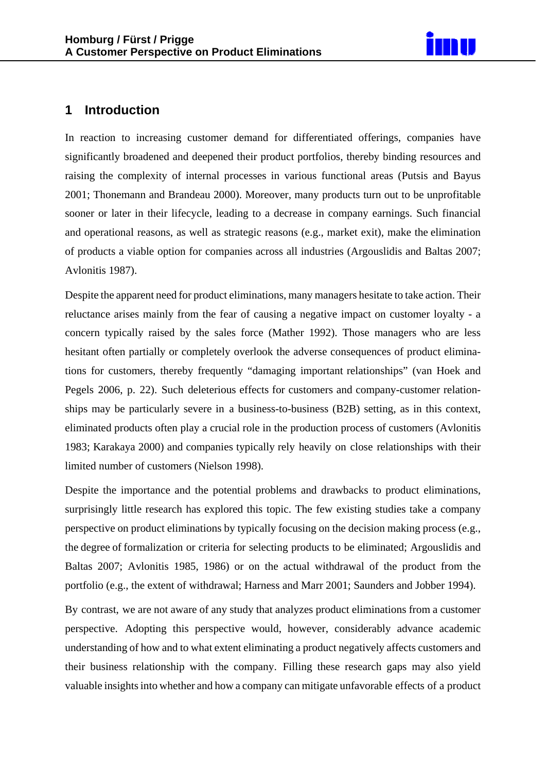

### **1 Introduction**

In reaction to increasing customer demand for differentiated offerings, companies have significantly broadened and deepened their product portfolios, thereby binding resources and raising the complexity of internal processes in various functional areas (Putsis and Bayus 2001; Thonemann and Brandeau 2000). Moreover, many products turn out to be unprofitable sooner or later in their lifecycle, leading to a decrease in company earnings. Such financial and operational reasons, as well as strategic reasons (e.g., market exit), make the elimination of products a viable option for companies across all industries (Argouslidis and Baltas 2007; Avlonitis 1987).

Despite the apparent need for product eliminations, many managers hesitate to take action. Their reluctance arises mainly from the fear of causing a negative impact on customer loyalty - a concern typically raised by the sales force (Mather 1992). Those managers who are less hesitant often partially or completely overlook the adverse consequences of product eliminations for customers, thereby frequently "damaging important relationships" (van Hoek and Pegels 2006, p. 22). Such deleterious effects for customers and company-customer relationships may be particularly severe in a business-to-business (B2B) setting, as in this context, eliminated products often play a crucial role in the production process of customers (Avlonitis 1983; Karakaya 2000) and companies typically rely heavily on close relationships with their limited number of customers (Nielson 1998).

Despite the importance and the potential problems and drawbacks to product eliminations, surprisingly little research has explored this topic. The few existing studies take a company perspective on product eliminations by typically focusing on the decision making process (e.g., the degree of formalization or criteria for selecting products to be eliminated; Argouslidis and Baltas 2007; Avlonitis 1985, 1986) or on the actual withdrawal of the product from the portfolio (e.g., the extent of withdrawal; Harness and Marr 2001; Saunders and Jobber 1994).

By contrast, we are not aware of any study that analyzes product eliminations from a customer perspective. Adopting this perspective would, however, considerably advance academic understanding of how and to what extent eliminating a product negatively affects customers and their business relationship with the company. Filling these research gaps may also yield valuable insights into whether and how a company can mitigate unfavorable effects of a product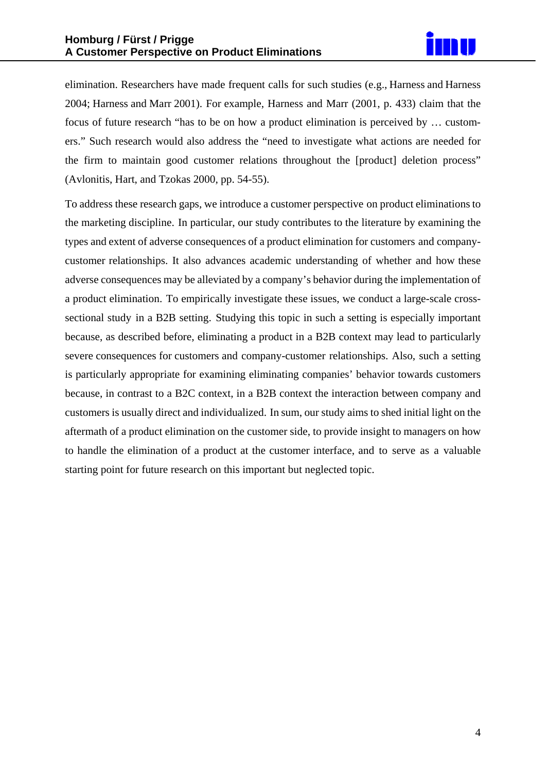

elimination. Researchers have made frequent calls for such studies (e.g., Harness and Harness 2004; Harness and Marr 2001). For example, Harness and Marr (2001, p. 433) claim that the focus of future research "has to be on how a product elimination is perceived by … customers." Such research would also address the "need to investigate what actions are needed for the firm to maintain good customer relations throughout the [product] deletion process" (Avlonitis, Hart, and Tzokas 2000, pp. 54-55).

To address these research gaps, we introduce a customer perspective on product eliminationsto the marketing discipline. In particular, our study contributes to the literature by examining the types and extent of adverse consequences of a product elimination for customers and companycustomer relationships. It also advances academic understanding of whether and how these adverse consequences may be alleviated by a company's behavior during the implementation of a product elimination. To empirically investigate these issues, we conduct a large-scale crosssectional study in a B2B setting. Studying this topic in such a setting is especially important because, as described before, eliminating a product in a B2B context may lead to particularly severe consequences for customers and company-customer relationships. Also, such a setting is particularly appropriate for examining eliminating companies' behavior towards customers because, in contrast to a B2C context, in a B2B context the interaction between company and customers is usually direct and individualized. In sum, our study aims to shed initial light on the aftermath of a product elimination on the customer side, to provide insight to managers on how to handle the elimination of a product at the customer interface, and to serve as a valuable starting point for future research on this important but neglected topic.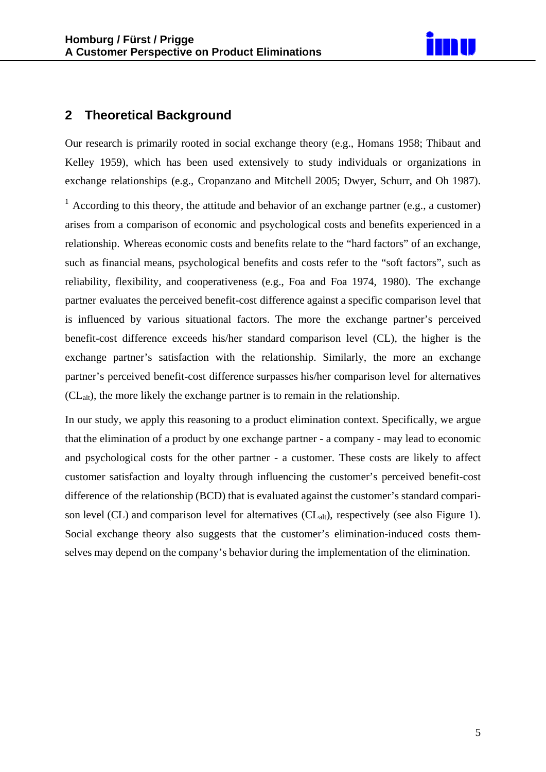

## **2 Theoretical Background**

Our research is primarily rooted in social exchange theory (e.g., Homans 1958; Thibaut and Kelley 1959), which has been used extensively to study individuals or organizations in exchange relationships (e.g., Cropanzano and Mitchell 2005; Dwyer, Schurr, and Oh 1987). <sup>1</sup> According to this theory, the attitude and behavior of an exchange partner (e.g., a customer) arises from a comparison of economic and psychological costs and benefits experienced in a relationship. Whereas economic costs and benefits relate to the "hard factors" of an exchange, such as financial means, psychological benefits and costs refer to the "soft factors", such as reliability, flexibility, and cooperativeness (e.g., Foa and Foa 1974, 1980). The exchange partner evaluates the perceived benefit-cost difference against a specific comparison level that is influenced by various situational factors. The more the exchange partner's perceived benefit-cost difference exceeds his/her standard comparison level (CL), the higher is the exchange partner's satisfaction with the relationship. Similarly, the more an exchange partner's perceived benefit-cost difference surpasses his/her comparison level for alternatives  $(CL<sub>alt</sub>)$ , the more likely the exchange partner is to remain in the relationship.

In our study, we apply this reasoning to a product elimination context. Specifically, we argue that the elimination of a product by one exchange partner - a company - may lead to economic and psychological costs for the other partner - a customer. These costs are likely to affect customer satisfaction and loyalty through influencing the customer's perceived benefit-cost difference of the relationship (BCD) that is evaluated against the customer's standard comparison level (CL) and comparison level for alternatives  $CL<sub>alt</sub>$ ), respectively (see also Figure 1). Social exchange theory also suggests that the customer's elimination-induced costs themselves may depend on the company's behavior during the implementation of the elimination.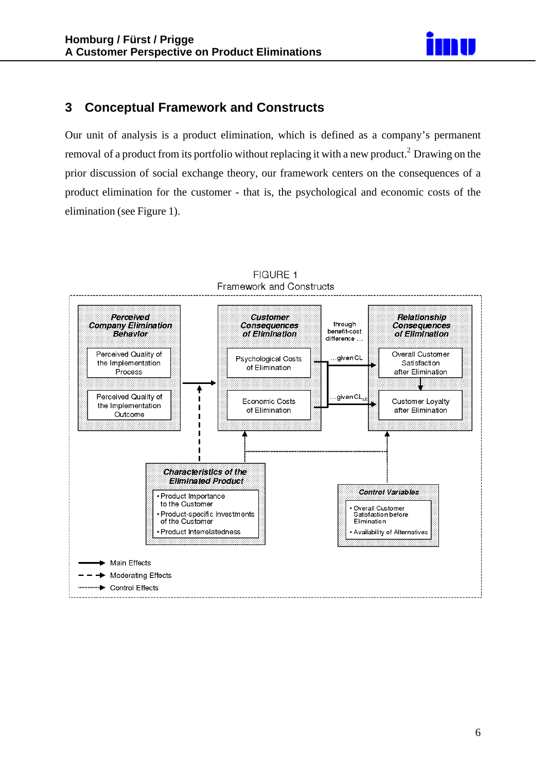

## **3 Conceptual Framework and Constructs**

Our unit of analysis is a product elimination, which is defined as a company's permanent removal of a product from its portfolio without replacing it with a new product.<sup>2</sup> Drawing on the prior discussion of social exchange theory, our framework centers on the consequences of a product elimination for the customer - that is, the psychological and economic costs of the elimination (see Figure 1).

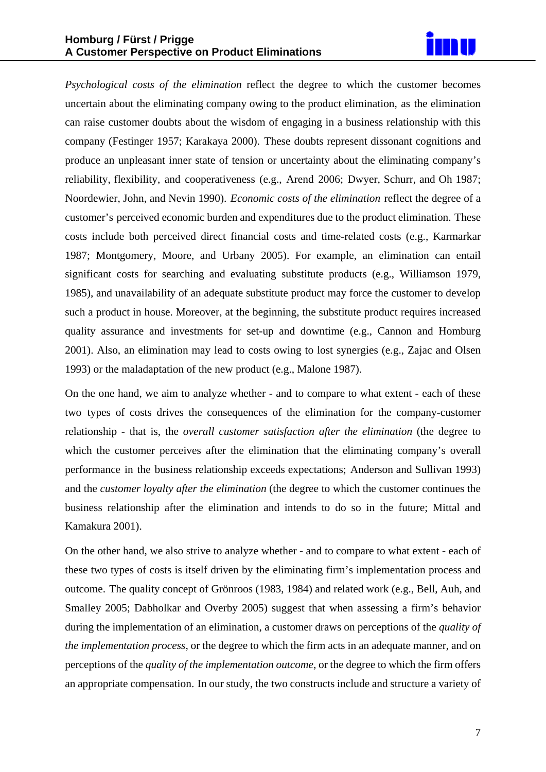

*Psychological costs of the elimination* reflect the degree to which the customer becomes uncertain about the eliminating company owing to the product elimination, as the elimination can raise customer doubts about the wisdom of engaging in a business relationship with this company (Festinger 1957; Karakaya 2000). These doubts represent dissonant cognitions and produce an unpleasant inner state of tension or uncertainty about the eliminating company's reliability, flexibility, and cooperativeness (e.g., Arend 2006; Dwyer, Schurr, and Oh 1987; Noordewier, John, and Nevin 1990). *Economic costs of the elimination* reflect the degree of a customer's perceived economic burden and expenditures due to the product elimination. These costs include both perceived direct financial costs and time-related costs (e.g., Karmarkar 1987; Montgomery, Moore, and Urbany 2005). For example, an elimination can entail significant costs for searching and evaluating substitute products (e.g., Williamson 1979, 1985), and unavailability of an adequate substitute product may force the customer to develop such a product in house. Moreover, at the beginning, the substitute product requires increased quality assurance and investments for set-up and downtime (e.g., Cannon and Homburg 2001). Also, an elimination may lead to costs owing to lost synergies (e.g., Zajac and Olsen 1993) or the maladaptation of the new product (e.g., Malone 1987).

On the one hand, we aim to analyze whether - and to compare to what extent - each of these two types of costs drives the consequences of the elimination for the company-customer relationship - that is, the *overall customer satisfaction after the elimination* (the degree to which the customer perceives after the elimination that the eliminating company's overall performance in the business relationship exceeds expectations; Anderson and Sullivan 1993) and the *customer loyalty after the elimination* (the degree to which the customer continues the business relationship after the elimination and intends to do so in the future; Mittal and Kamakura 2001).

On the other hand, we also strive to analyze whether - and to compare to what extent - each of these two types of costs is itself driven by the eliminating firm's implementation process and outcome. The quality concept of Grönroos (1983, 1984) and related work (e.g., Bell, Auh, and Smalley 2005; Dabholkar and Overby 2005) suggest that when assessing a firm's behavior during the implementation of an elimination, a customer draws on perceptions of the *quality of the implementation process*, or the degree to which the firm acts in an adequate manner, and on perceptions of the *quality of the implementation outcome*, or the degree to which the firm offers an appropriate compensation. In our study, the two constructs include and structure a variety of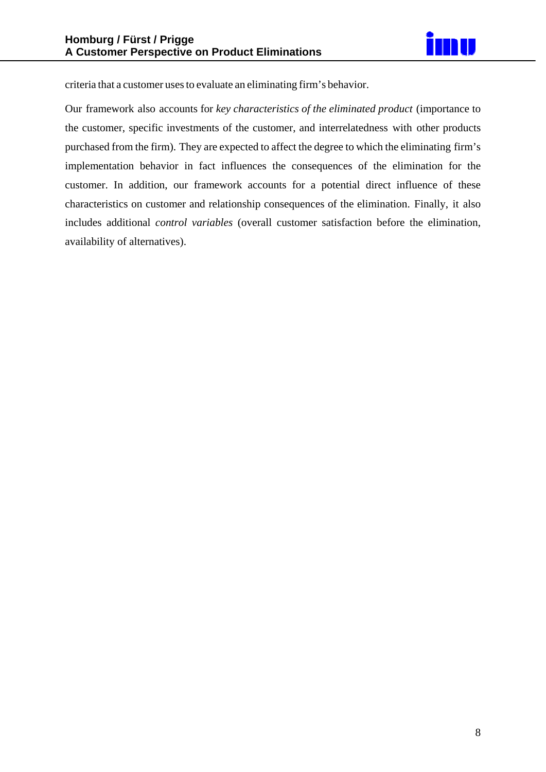

criteria that a customer uses to evaluate an eliminating firm's behavior.

Our framework also accounts for *key characteristics of the eliminated product* (importance to the customer, specific investments of the customer, and interrelatedness with other products purchased from the firm). They are expected to affect the degree to which the eliminating firm's implementation behavior in fact influences the consequences of the elimination for the customer. In addition, our framework accounts for a potential direct influence of these characteristics on customer and relationship consequences of the elimination. Finally, it also includes additional *control variables* (overall customer satisfaction before the elimination, availability of alternatives).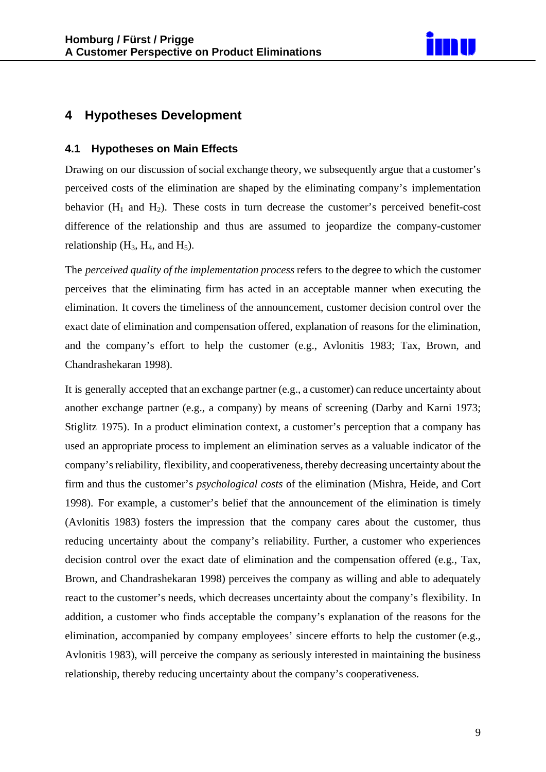

## **4 Hypotheses Development**

#### **4.1 Hypotheses on Main Effects**

Drawing on our discussion of social exchange theory, we subsequently argue that a customer's perceived costs of the elimination are shaped by the eliminating company's implementation behavior  $(H_1$  and  $H_2$ ). These costs in turn decrease the customer's perceived benefit-cost difference of the relationship and thus are assumed to jeopardize the company-customer relationship  $(H_3, H_4,$  and  $H_5)$ .

The *perceived quality of the implementation process* refers to the degree to which the customer perceives that the eliminating firm has acted in an acceptable manner when executing the elimination. It covers the timeliness of the announcement, customer decision control over the exact date of elimination and compensation offered, explanation of reasons for the elimination, and the company's effort to help the customer (e.g., Avlonitis 1983; Tax, Brown, and Chandrashekaran 1998).

It is generally accepted that an exchange partner (e.g., a customer) can reduce uncertainty about another exchange partner (e.g., a company) by means of screening (Darby and Karni 1973; Stiglitz 1975). In a product elimination context, a customer's perception that a company has used an appropriate process to implement an elimination serves as a valuable indicator of the company's reliability, flexibility, and cooperativeness, thereby decreasing uncertainty about the firm and thus the customer's *psychological costs* of the elimination (Mishra, Heide, and Cort 1998). For example, a customer's belief that the announcement of the elimination is timely (Avlonitis 1983) fosters the impression that the company cares about the customer, thus reducing uncertainty about the company's reliability. Further, a customer who experiences decision control over the exact date of elimination and the compensation offered (e.g., Tax, Brown, and Chandrashekaran 1998) perceives the company as willing and able to adequately react to the customer's needs, which decreases uncertainty about the company's flexibility. In addition, a customer who finds acceptable the company's explanation of the reasons for the elimination, accompanied by company employees' sincere efforts to help the customer (e.g., Avlonitis 1983), will perceive the company as seriously interested in maintaining the business relationship, thereby reducing uncertainty about the company's cooperativeness.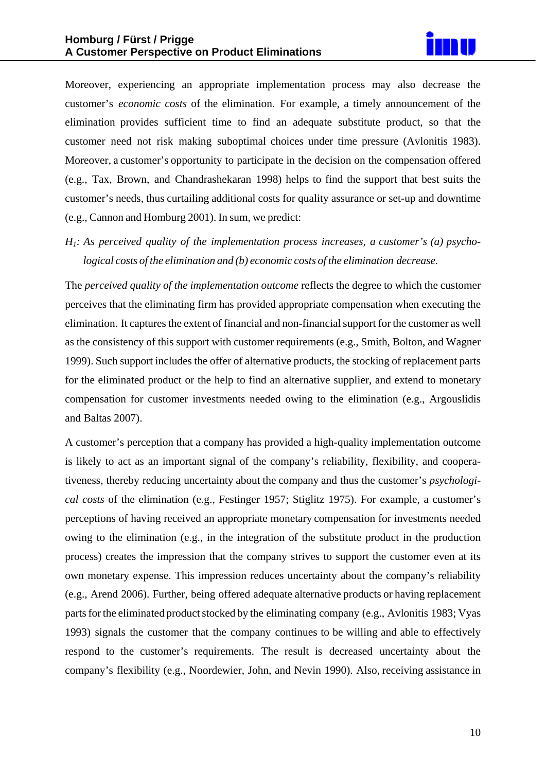

Moreover, experiencing an appropriate implementation process may also decrease the customer's *economic costs* of the elimination. For example, a timely announcement of the elimination provides sufficient time to find an adequate substitute product, so that the customer need not risk making suboptimal choices under time pressure (Avlonitis 1983). Moreover, a customer's opportunity to participate in the decision on the compensation offered (e.g., Tax, Brown, and Chandrashekaran 1998) helps to find the support that best suits the customer's needs, thus curtailing additional costs for quality assurance or set-up and downtime (e.g., Cannon and Homburg 2001). In sum, we predict:

*H1: As perceived quality of the implementation process increases, a customer's (a) psychological costs of the elimination and (b) economic costs of the elimination decrease.* 

The *perceived quality of the implementation outcome* reflects the degree to which the customer perceives that the eliminating firm has provided appropriate compensation when executing the elimination. It captures the extent of financial and non-financial support for the customer as well as the consistency of this support with customer requirements (e.g., Smith, Bolton, and Wagner 1999). Such support includes the offer of alternative products, the stocking of replacement parts for the eliminated product or the help to find an alternative supplier, and extend to monetary compensation for customer investments needed owing to the elimination (e.g., Argouslidis and Baltas 2007).

A customer's perception that a company has provided a high-quality implementation outcome is likely to act as an important signal of the company's reliability, flexibility, and cooperativeness, thereby reducing uncertainty about the company and thus the customer's *psychological costs* of the elimination (e.g., Festinger 1957; Stiglitz 1975). For example, a customer's perceptions of having received an appropriate monetary compensation for investments needed owing to the elimination (e.g., in the integration of the substitute product in the production process) creates the impression that the company strives to support the customer even at its own monetary expense. This impression reduces uncertainty about the company's reliability (e.g., Arend 2006). Further, being offered adequate alternative products or having replacement parts for the eliminated product stocked by the eliminating company (e.g., Avlonitis 1983; Vyas 1993) signals the customer that the company continues to be willing and able to effectively respond to the customer's requirements. The result is decreased uncertainty about the company's flexibility (e.g., Noordewier, John, and Nevin 1990). Also, receiving assistance in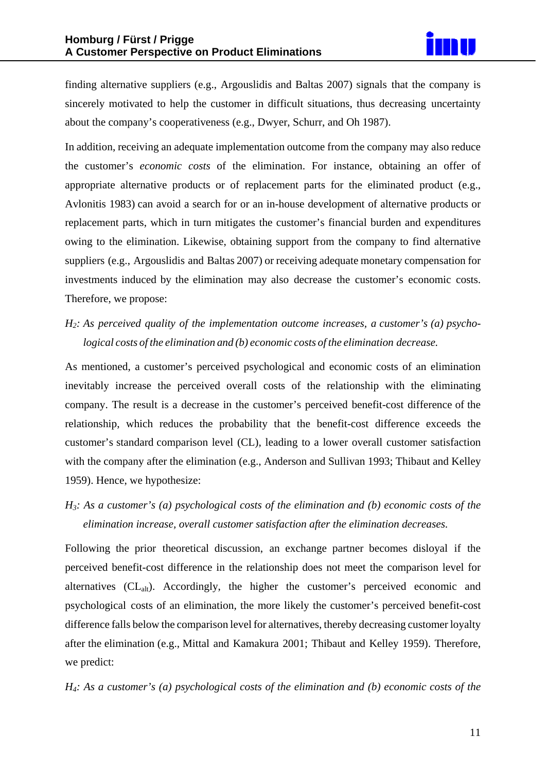finding alternative suppliers (e.g., Argouslidis and Baltas 2007) signals that the company is sincerely motivated to help the customer in difficult situations, thus decreasing uncertainty about the company's cooperativeness (e.g., Dwyer, Schurr, and Oh 1987).

In addition, receiving an adequate implementation outcome from the company may also reduce the customer's *economic costs* of the elimination. For instance, obtaining an offer of appropriate alternative products or of replacement parts for the eliminated product (e.g., Avlonitis 1983) can avoid a search for or an in-house development of alternative products or replacement parts, which in turn mitigates the customer's financial burden and expenditures owing to the elimination. Likewise, obtaining support from the company to find alternative suppliers (e.g., Argouslidis and Baltas 2007) or receiving adequate monetary compensation for investments induced by the elimination may also decrease the customer's economic costs. Therefore, we propose:

## *H2: As perceived quality of the implementation outcome increases, a customer's (a) psychological costs of the elimination and (b) economic costs of the elimination decrease.*

As mentioned, a customer's perceived psychological and economic costs of an elimination inevitably increase the perceived overall costs of the relationship with the eliminating company. The result is a decrease in the customer's perceived benefit-cost difference of the relationship, which reduces the probability that the benefit-cost difference exceeds the customer's standard comparison level (CL), leading to a lower overall customer satisfaction with the company after the elimination (e.g., Anderson and Sullivan 1993; Thibaut and Kelley 1959). Hence, we hypothesize:

*H3: As a customer's (a) psychological costs of the elimination and (b) economic costs of the elimination increase, overall customer satisfaction after the elimination decreases.* 

Following the prior theoretical discussion, an exchange partner becomes disloyal if the perceived benefit-cost difference in the relationship does not meet the comparison level for alternatives  $(CL<sub>alt</sub>)$ . Accordingly, the higher the customer's perceived economic and psychological costs of an elimination, the more likely the customer's perceived benefit-cost difference falls below the comparison level for alternatives, thereby decreasing customer loyalty after the elimination (e.g., Mittal and Kamakura 2001; Thibaut and Kelley 1959). Therefore, we predict:

*H4: As a customer's (a) psychological costs of the elimination and (b) economic costs of the*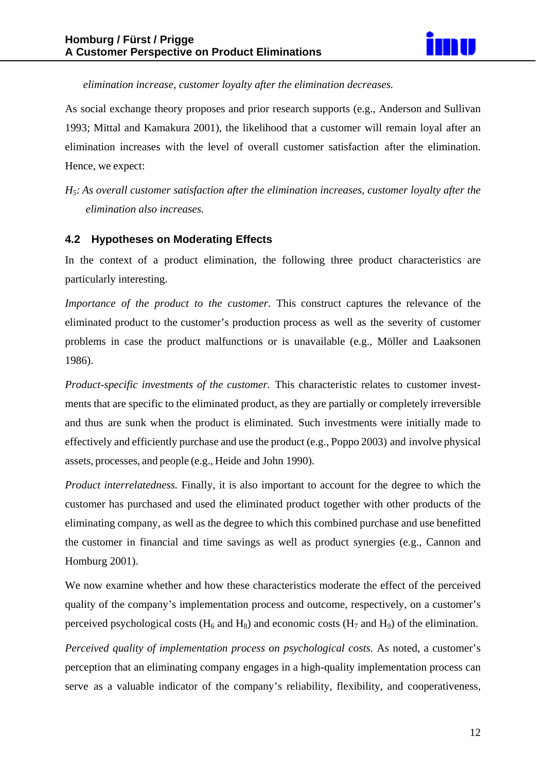

*elimination increase, customer loyalty after the elimination decreases.* 

As social exchange theory proposes and prior research supports (e.g., Anderson and Sullivan 1993; Mittal and Kamakura 2001), the likelihood that a customer will remain loyal after an elimination increases with the level of overall customer satisfaction after the elimination. Hence, we expect:

*H5: As overall customer satisfaction after the elimination increases, customer loyalty after the elimination also increases.* 

#### **4.2 Hypotheses on Moderating Effects**

In the context of a product elimination, the following three product characteristics are particularly interesting.

*Importance of the product to the customer*. This construct captures the relevance of the eliminated product to the customer's production process as well as the severity of customer problems in case the product malfunctions or is unavailable (e.g., Möller and Laaksonen 1986).

*Product-specific investments of the customer.* This characteristic relates to customer investments that are specific to the eliminated product, as they are partially or completely irreversible and thus are sunk when the product is eliminated. Such investments were initially made to effectively and efficiently purchase and use the product (e.g., Poppo 2003) and involve physical assets, processes, and people (e.g., Heide and John 1990).

*Product interrelatedness.* Finally, it is also important to account for the degree to which the customer has purchased and used the eliminated product together with other products of the eliminating company, as well as the degree to which this combined purchase and use benefitted the customer in financial and time savings as well as product synergies (e.g., Cannon and Homburg 2001).

We now examine whether and how these characteristics moderate the effect of the perceived quality of the company's implementation process and outcome, respectively, on a customer's perceived psychological costs ( $H_6$  and  $H_8$ ) and economic costs ( $H_7$  and  $H_9$ ) of the elimination.

*Perceived quality of implementation process on psychological costs.* As noted, a customer's perception that an eliminating company engages in a high-quality implementation process can serve as a valuable indicator of the company's reliability, flexibility, and cooperativeness,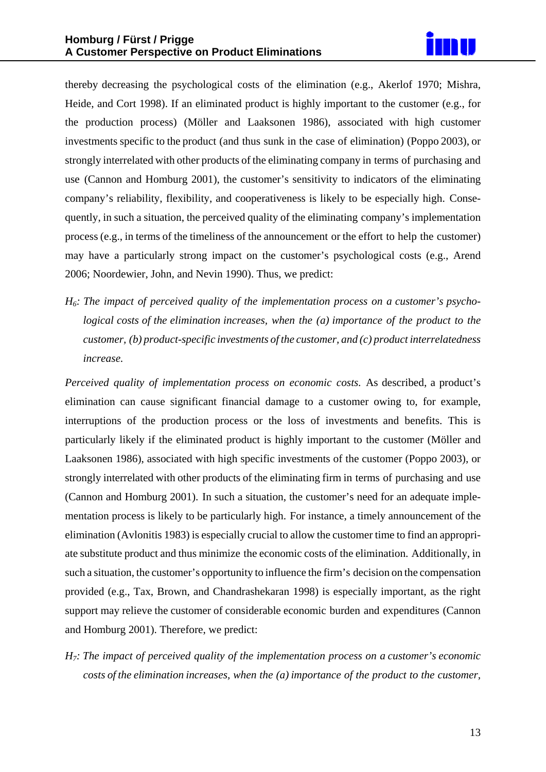

thereby decreasing the psychological costs of the elimination (e.g., Akerlof 1970; Mishra, Heide, and Cort 1998). If an eliminated product is highly important to the customer (e.g., for the production process) (Möller and Laaksonen 1986), associated with high customer investments specific to the product (and thus sunk in the case of elimination) (Poppo 2003), or strongly interrelated with other products of the eliminating company in terms of purchasing and use (Cannon and Homburg 2001), the customer's sensitivity to indicators of the eliminating company's reliability, flexibility, and cooperativeness is likely to be especially high. Consequently, in such a situation, the perceived quality of the eliminating company's implementation process (e.g., in terms of the timeliness of the announcement or the effort to help the customer) may have a particularly strong impact on the customer's psychological costs (e.g., Arend 2006; Noordewier, John, and Nevin 1990). Thus, we predict:

*H6: The impact of perceived quality of the implementation process on a customer's psychological costs of the elimination increases, when the (a) importance of the product to the customer, (b) product-specific investments of the customer, and (c) product interrelatedness increase.* 

*Perceived quality of implementation process on economic costs.* As described, a product's elimination can cause significant financial damage to a customer owing to, for example, interruptions of the production process or the loss of investments and benefits. This is particularly likely if the eliminated product is highly important to the customer (Möller and Laaksonen 1986), associated with high specific investments of the customer (Poppo 2003), or strongly interrelated with other products of the eliminating firm in terms of purchasing and use (Cannon and Homburg 2001). In such a situation, the customer's need for an adequate implementation process is likely to be particularly high. For instance, a timely announcement of the elimination (Avlonitis 1983) is especially crucial to allow the customer time to find an appropriate substitute product and thus minimize the economic costs of the elimination. Additionally, in such a situation, the customer's opportunity to influence the firm's decision on the compensation provided (e.g., Tax, Brown, and Chandrashekaran 1998) is especially important, as the right support may relieve the customer of considerable economic burden and expenditures (Cannon and Homburg 2001). Therefore, we predict:

*H7: The impact of perceived quality of the implementation process on a customer's economic costs of the elimination increases, when the (a) importance of the product to the customer,*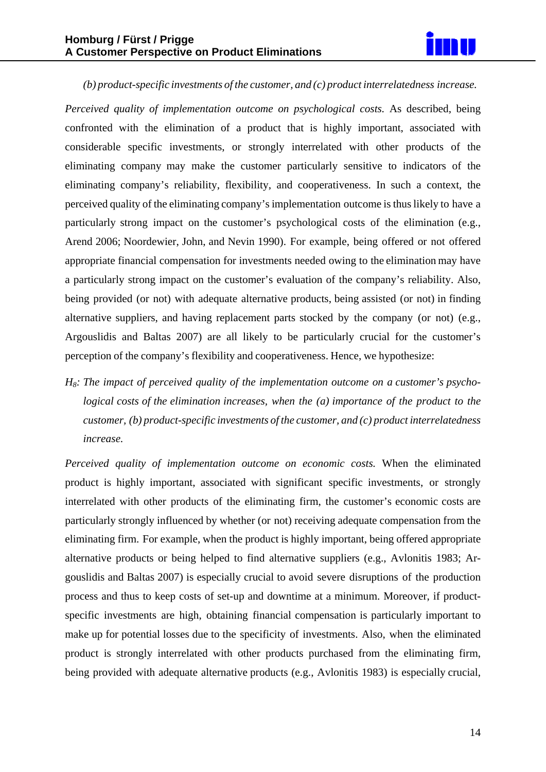

#### *(b) product-specific investments of the customer, and (c) product interrelatedness increase.*

*Perceived quality of implementation outcome on psychological costs.* As described, being confronted with the elimination of a product that is highly important, associated with considerable specific investments, or strongly interrelated with other products of the eliminating company may make the customer particularly sensitive to indicators of the eliminating company's reliability, flexibility, and cooperativeness. In such a context, the perceived quality of the eliminating company'simplementation outcome isthuslikely to have a particularly strong impact on the customer's psychological costs of the elimination (e.g., Arend 2006; Noordewier, John, and Nevin 1990). For example, being offered or not offered appropriate financial compensation for investments needed owing to the elimination may have a particularly strong impact on the customer's evaluation of the company's reliability. Also, being provided (or not) with adequate alternative products, being assisted (or not) in finding alternative suppliers, and having replacement parts stocked by the company (or not) (e.g., Argouslidis and Baltas 2007) are all likely to be particularly crucial for the customer's perception of the company's flexibility and cooperativeness. Hence, we hypothesize:

*H8: The impact of perceived quality of the implementation outcome on a customer's psychological costs of the elimination increases, when the (a) importance of the product to the customer, (b) product-specific investments of the customer, and (c) product interrelatedness increase.* 

*Perceived quality of implementation outcome on economic costs.* When the eliminated product is highly important, associated with significant specific investments, or strongly interrelated with other products of the eliminating firm, the customer's economic costs are particularly strongly influenced by whether (or not) receiving adequate compensation from the eliminating firm. For example, when the product is highly important, being offered appropriate alternative products or being helped to find alternative suppliers (e.g., Avlonitis 1983; Argouslidis and Baltas 2007) is especially crucial to avoid severe disruptions of the production process and thus to keep costs of set-up and downtime at a minimum. Moreover, if productspecific investments are high, obtaining financial compensation is particularly important to make up for potential losses due to the specificity of investments. Also, when the eliminated product is strongly interrelated with other products purchased from the eliminating firm, being provided with adequate alternative products (e.g., Avlonitis 1983) is especially crucial,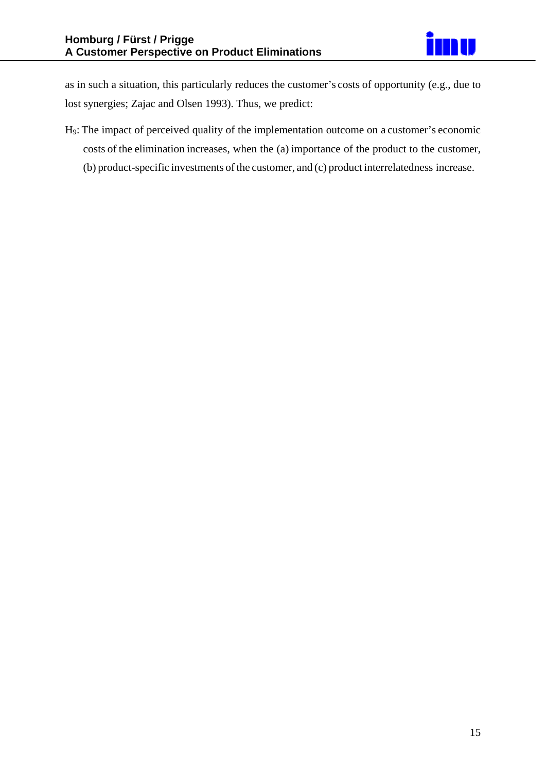as in such a situation, this particularly reduces the customer's costs of opportunity (e.g., due to lost synergies; Zajac and Olsen 1993). Thus, we predict:

H9: The impact of perceived quality of the implementation outcome on a customer's economic costs of the elimination increases, when the (a) importance of the product to the customer, (b) product-specific investments of the customer, and (c) product interrelatedness increase.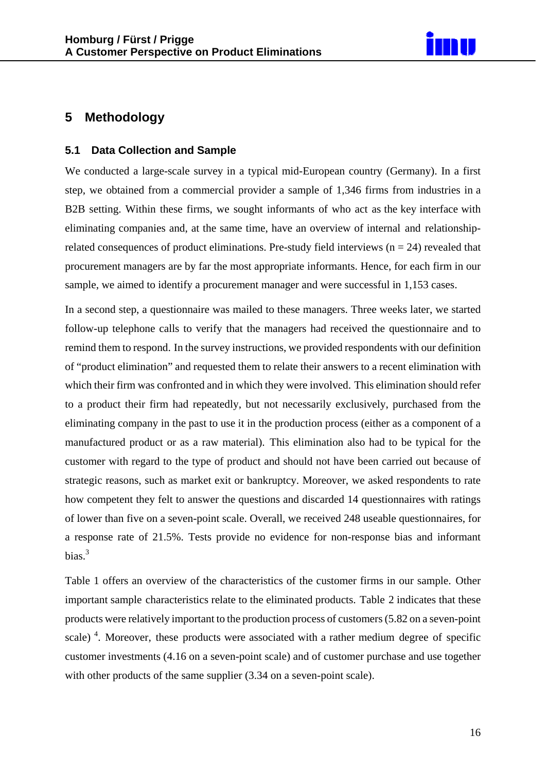

## **5 Methodology**

#### **5.1 Data Collection and Sample**

We conducted a large-scale survey in a typical mid-European country (Germany). In a first step, we obtained from a commercial provider a sample of 1,346 firms from industries in a B2B setting. Within these firms, we sought informants of who act as the key interface with eliminating companies and, at the same time, have an overview of internal and relationshiprelated consequences of product eliminations. Pre-study field interviews ( $n = 24$ ) revealed that procurement managers are by far the most appropriate informants. Hence, for each firm in our sample, we aimed to identify a procurement manager and were successful in 1,153 cases.

In a second step, a questionnaire was mailed to these managers. Three weeks later, we started follow-up telephone calls to verify that the managers had received the questionnaire and to remind them to respond. In the survey instructions, we provided respondents with our definition of "product elimination" and requested them to relate their answers to a recent elimination with which their firm was confronted and in which they were involved. This elimination should refer to a product their firm had repeatedly, but not necessarily exclusively, purchased from the eliminating company in the past to use it in the production process (either as a component of a manufactured product or as a raw material). This elimination also had to be typical for the customer with regard to the type of product and should not have been carried out because of strategic reasons, such as market exit or bankruptcy. Moreover, we asked respondents to rate how competent they felt to answer the questions and discarded 14 questionnaires with ratings of lower than five on a seven-point scale. Overall, we received 248 useable questionnaires, for a response rate of 21.5%. Tests provide no evidence for non-response bias and informant bias. $3$ 

Table 1 offers an overview of the characteristics of the customer firms in our sample. Other important sample characteristics relate to the eliminated products. Table 2 indicates that these products were relatively important to the production process of customers(5.82 on a seven-point scale)<sup>4</sup>. Moreover, these products were associated with a rather medium degree of specific customer investments (4.16 on a seven-point scale) and of customer purchase and use together with other products of the same supplier  $(3.34 \text{ on a seven-point scale}).$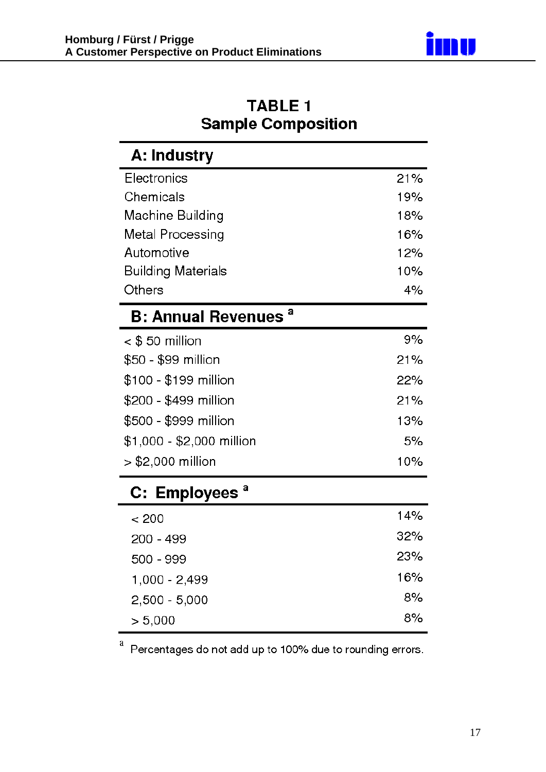

| <b>TABLE 1</b>            |  |
|---------------------------|--|
| <b>Sample Composition</b> |  |

| A: Industry                           |     |
|---------------------------------------|-----|
| Electronics                           | 21% |
| Chemicals                             | 19% |
| Machine Building                      | 18% |
| Metal Processing                      | 16% |
| Automotive                            | 12% |
| <b>Building Materials</b>             | 10% |
| Others                                | 4%  |
| <b>B: Annual Revenues<sup>a</sup></b> |     |
| $<$ \$ 50 million                     | 9%  |
| \$50 - \$99 million                   | 21% |
| \$100 - \$199 million                 | 22% |
| \$200 - \$499 million                 | 21% |
| \$500 - \$999 million                 | 13% |
| \$1,000 - \$2,000 million             | 5%  |
| $>$ \$2,000 million                   | 10% |
| C: Employees <sup>a</sup>             |     |
| < 200                                 | 14% |
| 200 - 499                             | 32% |
| 500 - 999                             | 23% |
| 1,000 - 2,499                         | 16% |
| $2,500 - 5,000$                       | 8%  |
| > 5,000                               | 8%  |

<sup>a</sup> Percentages do not add up to 100% due to rounding errors.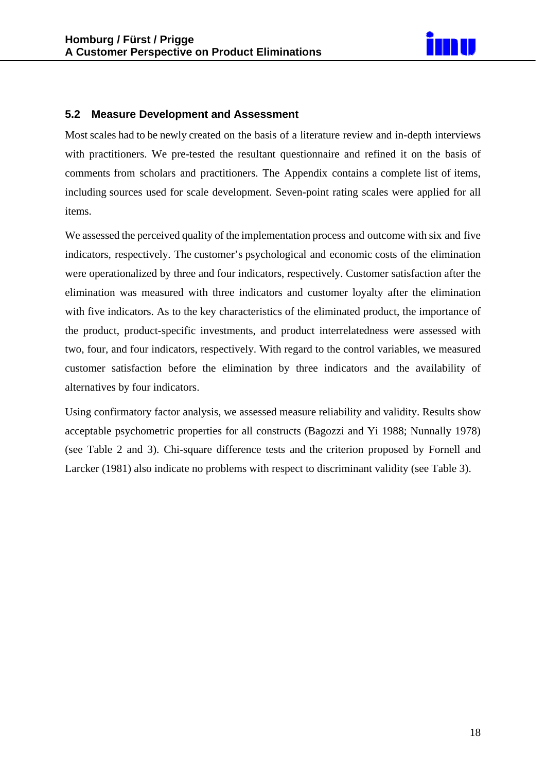

#### **5.2 Measure Development and Assessment**

Most scales had to be newly created on the basis of a literature review and in-depth interviews with practitioners. We pre-tested the resultant questionnaire and refined it on the basis of comments from scholars and practitioners. The Appendix contains a complete list of items, including sources used for scale development. Seven-point rating scales were applied for all items.

We assessed the perceived quality of the implementation process and outcome with six and five indicators, respectively. The customer's psychological and economic costs of the elimination were operationalized by three and four indicators, respectively. Customer satisfaction after the elimination was measured with three indicators and customer loyalty after the elimination with five indicators. As to the key characteristics of the eliminated product, the importance of the product, product-specific investments, and product interrelatedness were assessed with two, four, and four indicators, respectively. With regard to the control variables, we measured customer satisfaction before the elimination by three indicators and the availability of alternatives by four indicators.

Using confirmatory factor analysis, we assessed measure reliability and validity. Results show acceptable psychometric properties for all constructs (Bagozzi and Yi 1988; Nunnally 1978) (see Table 2 and 3). Chi-square difference tests and the criterion proposed by Fornell and Larcker (1981) also indicate no problems with respect to discriminant validity (see Table 3).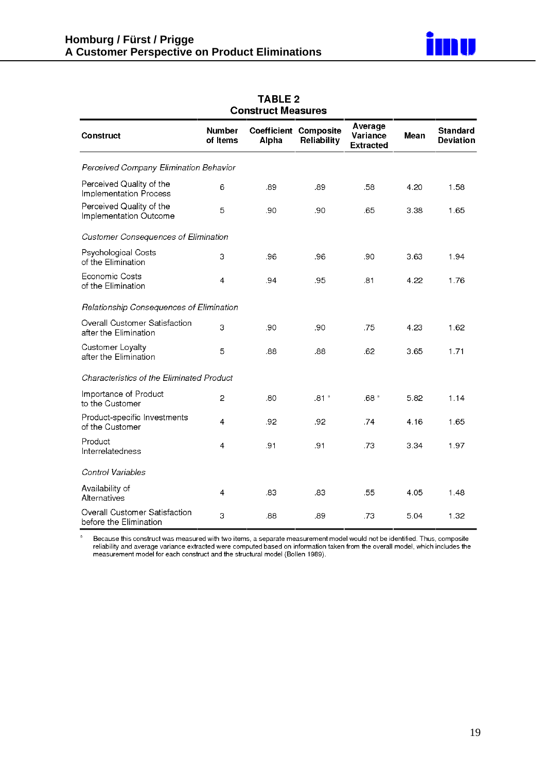

|                                                         |                           | CUIDII UCL MEASUI ES |                                             |                                         |      |                                     |
|---------------------------------------------------------|---------------------------|----------------------|---------------------------------------------|-----------------------------------------|------|-------------------------------------|
| <b>Construct</b>                                        | <b>Number</b><br>of Items | Alpha                | <b>Coefficient Composite</b><br>Reliability | Average<br>Variance<br><b>Extracted</b> | Mean | <b>Standard</b><br><b>Deviation</b> |
| Perceived Company Elimination Behavior                  |                           |                      |                                             |                                         |      |                                     |
| Perceived Quality of the<br>Implementation Process      | 6                         | .89                  | .89                                         | .58                                     | 4.20 | 1.58                                |
| Perceived Quality of the<br>Implementation Outcome      | 5                         | .90                  | .90                                         | .65                                     | 3.38 | 1.65                                |
| <b>Customer Consequences of Elimination</b>             |                           |                      |                                             |                                         |      |                                     |
| Psychological Costs<br>of the Elimination               | 3                         | .96                  | .96                                         | .90                                     | 3.63 | 1.94                                |
| Economic Costs<br>of the Elimination                    | 4                         | .94                  | .95                                         | .81                                     | 4.22 | 1.76                                |
| Relationship Consequences of Elimination                |                           |                      |                                             |                                         |      |                                     |
| Overall Customer Satisfaction<br>after the Elimination  | 3                         | .90                  | .90                                         | .75                                     | 4.23 | 1.62                                |
| Customer Loyalty<br>after the Elimination               | 5                         | .88                  | .88                                         | .62                                     | 3.65 | 1.71                                |
| Characteristics of the Eliminated Product               |                           |                      |                                             |                                         |      |                                     |
| Importance of Product<br>to the Customer                | 2                         | .80                  | .81 <sup>°</sup>                            | .68 <sup>a</sup>                        | 5.82 | 1.14                                |
| Product-specific Investments<br>of the Customer         | 4                         | .92                  | .92                                         | .74                                     | 4.16 | 1.65                                |
| Product<br>Interrelatedness                             | 4                         | .91                  | .91                                         | .73                                     | 3.34 | 1.97                                |
| Control Variables                                       |                           |                      |                                             |                                         |      |                                     |
| Availability of<br>Alternatives                         | 4                         | .83                  | .83                                         | .55                                     | 4.05 | 1.48                                |
| Overall Customer Satisfaction<br>before the Elimination | 3                         | .88                  | .89                                         | .73                                     | 5.04 | 1.32                                |

#### **TABLE 2** onetruet Moseuroe

 $\mathbf{a}$ Because this construct was measured with two items, a separate measurement model would not be identified. Thus, composite reliability and average variance extracted were computed based on information taken from the overall model, which includes the<br>measurement model for each construct and the structural model (Bollen 1989).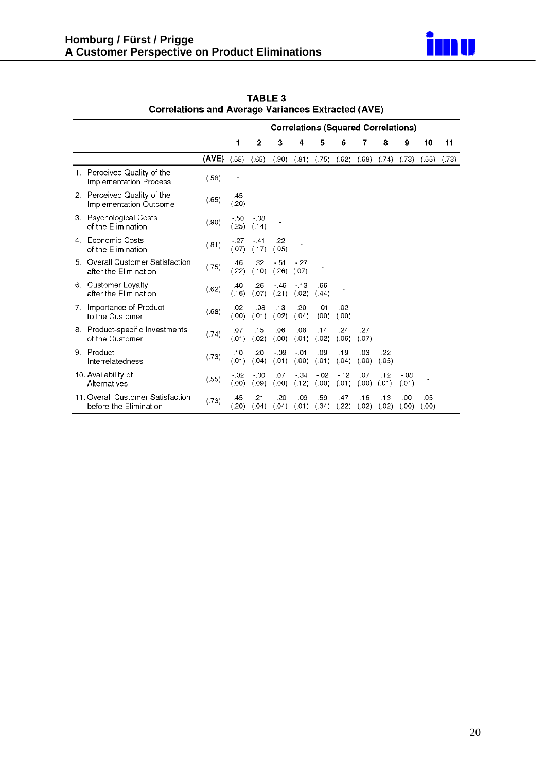

|    |                                                             | <b>Correlations (Squared Correlations)</b> |                  |                  |                  |                 |                 |                |              |              |                 |              |       |
|----|-------------------------------------------------------------|--------------------------------------------|------------------|------------------|------------------|-----------------|-----------------|----------------|--------------|--------------|-----------------|--------------|-------|
|    |                                                             |                                            | 1                | $\mathbf{2}$     | 3                | 4               | 5               | 6              | 7            | 8            | 9               | 10           | 11    |
|    |                                                             | (AVE)                                      | (.58)            | (.65)            | (.90)            | (.81)           | (.75)           | (.62)          | (.68)        | (.74)        | (.73)           | (.55)        | (.73) |
| 1. | Perceived Quality of the<br>Implementation Process          | (.58)                                      |                  |                  |                  |                 |                 |                |              |              |                 |              |       |
|    | 2. Perceived Quality of the<br>Implementation Outcome       | (.65)                                      | .45<br>(.20)     |                  |                  |                 |                 |                |              |              |                 |              |       |
|    | 3. Psychological Costs<br>of the Elimination                | (.90)                                      | $-50$<br>(.25)   | $-38$<br>(.14)   |                  |                 |                 |                |              |              |                 |              |       |
| 4. | Economic Costs<br>of the Elimination                        | (.81)                                      | $-.27$<br>(.07)  | $-.41$<br>(.17)  | .22<br>(.05)     |                 |                 |                |              |              |                 |              |       |
|    | 5. Overall Customer Satisfaction<br>after the Elimination   | (.75)                                      | .46<br>(.22)     | .32<br>(.10)     | $-51$<br>(.26)   | $-.27$<br>(.07) |                 |                |              |              |                 |              |       |
|    | 6. Customer Loyalty<br>after the Elimination                | (.62)                                      | .40<br>(.16)     | .26<br>(.07)     | $-46$<br>(.21)   | $-13$<br>(.02)  | .66<br>(.44)    |                |              |              |                 |              |       |
|    | 7. Importance of Product<br>to the Customer                 | (.68)                                      | .02<br>(.00)     | $-0.08$<br>(.01) | .13<br>(.02)     | .20<br>(.04)    | $-.01$<br>(00)  | .02<br>(.00)   |              |              |                 |              |       |
|    | 8. Product-specific Investments<br>of the Customer          | (.74)                                      | .07<br>(.01)     | .15<br>(.02)     | .06<br>(.00)     | .08<br>(.01)    | .14<br>(.02)    | .24<br>(.06)   | .27<br>(.07) |              |                 |              |       |
| 9. | Product<br>Interrelatedness                                 | (.73)                                      | .10<br>(.01)     | .20<br>(.04)     | $-0.99$<br>(.01) | $-.01$<br>(.00) | .09<br>(.01)    | .19<br>(.04)   | .03<br>(.00) | .22<br>(.05) |                 |              |       |
|    | 10. Availability of<br>Alternatives                         | (.55)                                      | $-0.02$<br>(.00) | $-30$<br>(.09)   | .07<br>(.00)     | $-.34$<br>(.12) | $-.02$<br>(.00) | $-12$<br>(.01) | .07<br>(.00) | .12<br>(.01) | $-.08$<br>(.01) |              |       |
|    | 11. Overall Customer Satisfaction<br>before the Elimination | (.73)                                      | .45<br>(.20)     | .21<br>(.04)     | $-20$<br>(.04)   | $-.09$<br>(.01) | .59<br>(.34)    | .47<br>(.22)   | .16<br>(.02) | .13<br>(.02) | .00<br>(.00)    | .05<br>(.00) |       |

TABLE 3<br>Correlations and Average Variances Extracted (AVE)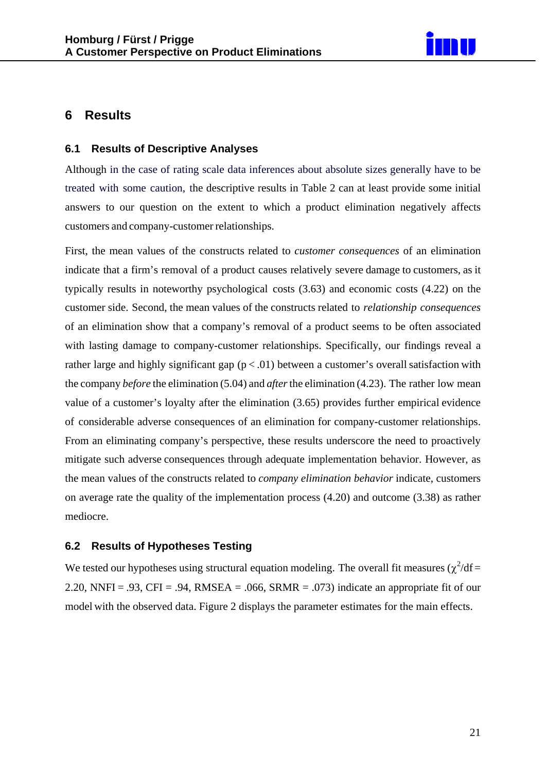

## **6 Results**

#### **6.1 Results of Descriptive Analyses**

Although in the case of rating scale data inferences about absolute sizes generally have to be treated with some caution, the descriptive results in Table 2 can at least provide some initial answers to our question on the extent to which a product elimination negatively affects customers and company-customer relationships.

First, the mean values of the constructs related to *customer consequences* of an elimination indicate that a firm's removal of a product causes relatively severe damage to customers, as it typically results in noteworthy psychological costs (3.63) and economic costs (4.22) on the customer side. Second, the mean values of the constructs related to *relationship consequences* of an elimination show that a company's removal of a product seems to be often associated with lasting damage to company-customer relationships. Specifically, our findings reveal a rather large and highly significant gap  $(p < .01)$  between a customer's overall satisfaction with the company *before* the elimination (5.04) and *after*the elimination (4.23). The rather low mean value of a customer's loyalty after the elimination (3.65) provides further empirical evidence of considerable adverse consequences of an elimination for company-customer relationships. From an eliminating company's perspective, these results underscore the need to proactively mitigate such adverse consequences through adequate implementation behavior. However, as the mean values of the constructs related to *company elimination behavior* indicate, customers on average rate the quality of the implementation process (4.20) and outcome (3.38) as rather mediocre.

#### **6.2 Results of Hypotheses Testing**

We tested our hypotheses using structural equation modeling. The overall fit measures  $(\chi^2/df =$ 2.20, NNFI = .93, CFI = .94, RMSEA = .066, SRMR = .073) indicate an appropriate fit of our model with the observed data. Figure 2 displays the parameter estimates for the main effects.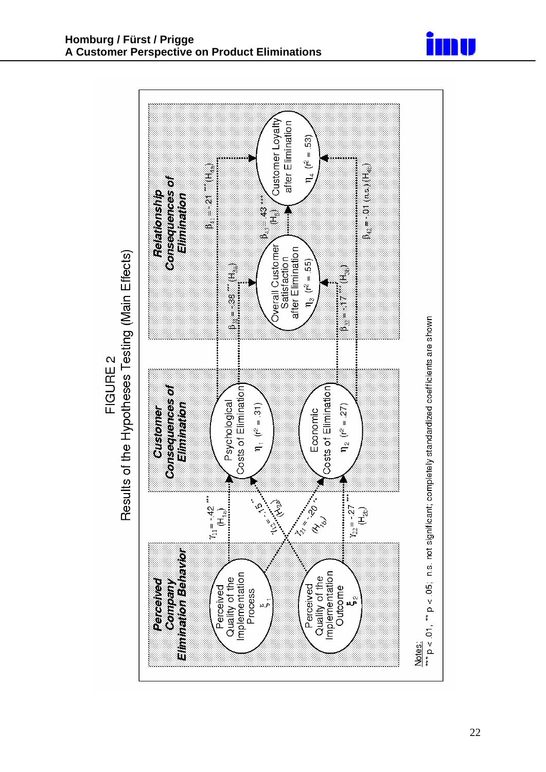



Results of the Hypotheses Testing (Main Effects) **FIGURE 2**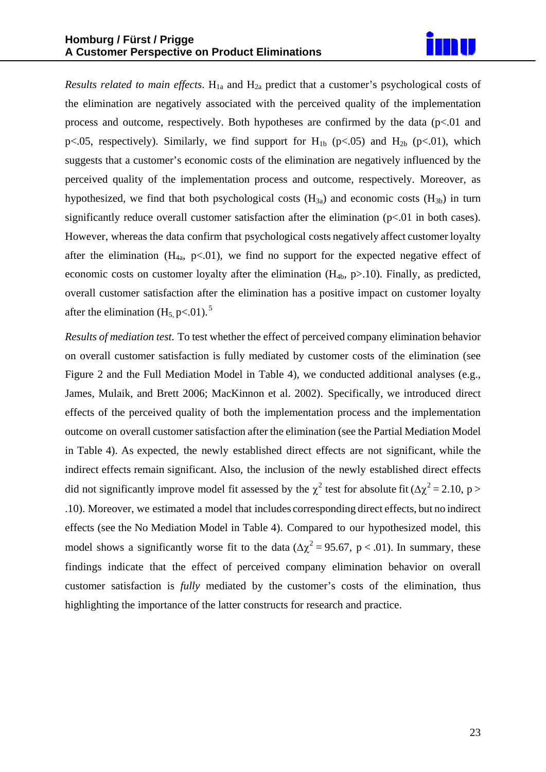

*Results related to main effects*.  $H_{1a}$  and  $H_{2a}$  predict that a customer's psychological costs of the elimination are negatively associated with the perceived quality of the implementation process and outcome, respectively. Both hypotheses are confirmed by the data  $(p<0.01)$  and p<.05, respectively). Similarly, we find support for  $H_{1b}$  (p<.05) and  $H_{2b}$  (p<.01), which suggests that a customer's economic costs of the elimination are negatively influenced by the perceived quality of the implementation process and outcome, respectively. Moreover, as hypothesized, we find that both psychological costs  $(H_{3a})$  and economic costs  $(H_{3b})$  in turn significantly reduce overall customer satisfaction after the elimination  $(p<01$  in both cases). However, whereas the data confirm that psychological costs negatively affect customer loyalty after the elimination  $(H_{4a}, p<.01)$ , we find no support for the expected negative effect of economic costs on customer loyalty after the elimination  $(H_{4b}, p>10)$ . Finally, as predicted, overall customer satisfaction after the elimination has a positive impact on customer loyalty after the elimination  $(H_5 \text{ p} < 0.01)$ .<sup>5</sup>

*Results of mediation test*. To test whether the effect of perceived company elimination behavior on overall customer satisfaction is fully mediated by customer costs of the elimination (see Figure 2 and the Full Mediation Model in Table 4), we conducted additional analyses (e.g., James, Mulaik, and Brett 2006; MacKinnon et al. 2002). Specifically, we introduced direct effects of the perceived quality of both the implementation process and the implementation outcome on overall customer satisfaction after the elimination (see the Partial Mediation Model in Table 4). As expected, the newly established direct effects are not significant, while the indirect effects remain significant. Also, the inclusion of the newly established direct effects did not significantly improve model fit assessed by the  $\chi^2$  test for absolute fit ( $\Delta \chi^2 = 2.10$ , p > .10). Moreover, we estimated a model that includes corresponding direct effects, but no indirect effects (see the No Mediation Model in Table 4). Compared to our hypothesized model, this model shows a significantly worse fit to the data ( $\Delta \chi^2 = 95.67$ , p < .01). In summary, these findings indicate that the effect of perceived company elimination behavior on overall customer satisfaction is *fully* mediated by the customer's costs of the elimination, thus highlighting the importance of the latter constructs for research and practice.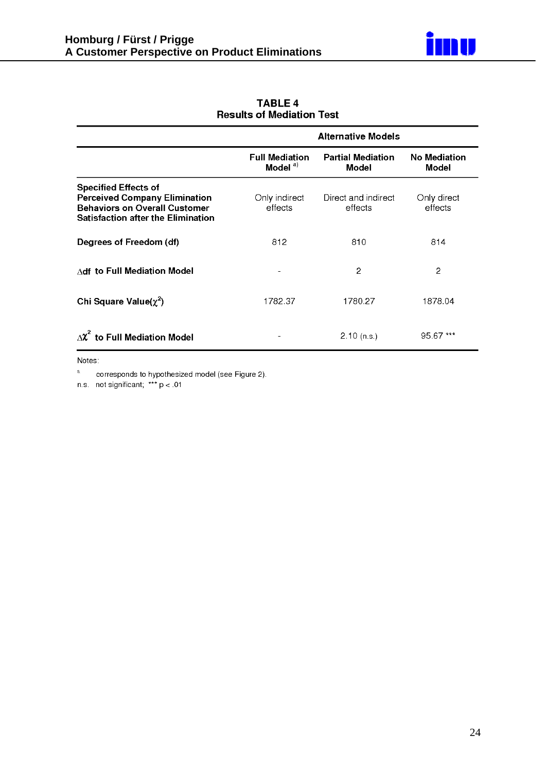

|                                                                                                                                                          | <b>Alternative Models</b>                    |                                          |                                     |  |  |
|----------------------------------------------------------------------------------------------------------------------------------------------------------|----------------------------------------------|------------------------------------------|-------------------------------------|--|--|
|                                                                                                                                                          | <b>Full Mediation</b><br>Model <sup>a)</sup> | <b>Partial Mediation</b><br><b>Model</b> | <b>No Mediation</b><br><b>Model</b> |  |  |
| <b>Specified Effects of</b><br><b>Perceived Company Elimination</b><br><b>Behaviors on Overall Customer</b><br><b>Satisfaction after the Elimination</b> | Only indirect<br>effects                     | Direct and indirect<br>effects           | Only direct<br>effects              |  |  |
| Degrees of Freedom (df)                                                                                                                                  | 812                                          | 810                                      | 814                                 |  |  |
| Adf to Full Mediation Model                                                                                                                              |                                              | 2                                        | 2                                   |  |  |
| Chi Square Value( $\chi^2$ )                                                                                                                             | 1782.37                                      | 1780.27                                  | 1878.04                             |  |  |
| $\Delta$ $\chi^2$ to Full Mediation Model                                                                                                                |                                              | $2.10$ (n.s.)                            | 95.67 ***                           |  |  |

**TABLE 4 Results of Mediation Test** 

Notes:

 $\mathbf{a}$ corresponds to hypothesized model (see Figure 2).

n.s. not significant;  $*** p < .01$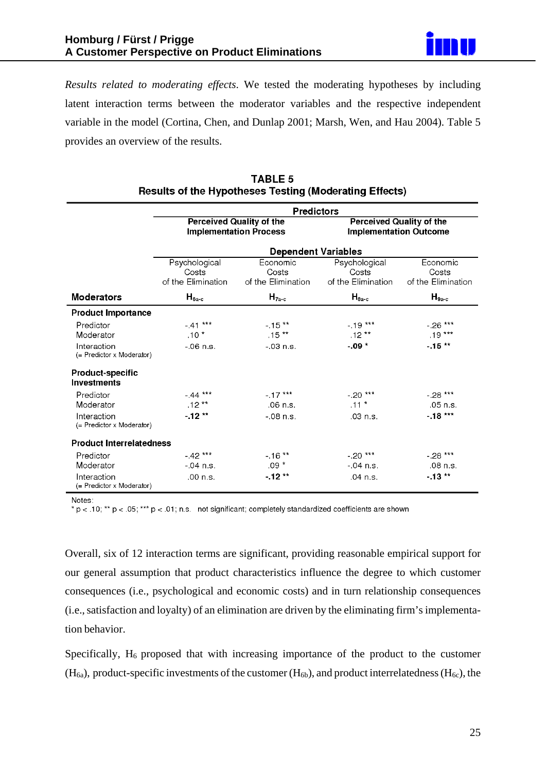

*Results related to moderating effects*. We tested the moderating hypotheses by including latent interaction terms between the moderator variables and the respective independent variable in the model (Cortina, Chen, and Dunlap 2001; Marsh, Wen, and Hau 2004). Table 5 provides an overview of the results.

|                                          | <b>Predictors</b>                            |                                                                  |                                                                  |                                         |  |  |  |
|------------------------------------------|----------------------------------------------|------------------------------------------------------------------|------------------------------------------------------------------|-----------------------------------------|--|--|--|
|                                          |                                              | <b>Perceived Quality of the</b><br><b>Implementation Process</b> | <b>Perceived Quality of the</b><br><b>Implementation Outcome</b> |                                         |  |  |  |
|                                          | <b>Dependent Variables</b>                   |                                                                  |                                                                  |                                         |  |  |  |
|                                          | Psychological<br>Costs<br>of the Elimination | Economic<br>Costs<br>of the Elimination                          | Psychological<br>Costs<br>of the Elimination                     | Economic<br>Costs<br>of the Elimination |  |  |  |
| <b>Moderators</b>                        | $H_{6a-c}$                                   | $H_{7a-c}$                                                       | $H_{8a-c}$                                                       | $H_{9a-c}$                              |  |  |  |
| <b>Product Importance</b>                |                                              |                                                                  |                                                                  |                                         |  |  |  |
| Predictor<br>Moderator                   | $-41***$<br>$.10*$                           | $-15**$<br>$.15**$                                               | $-19***$<br>$.12***$                                             | $-.26***$<br>$.19***$                   |  |  |  |
| Interaction<br>(= Predictor x Moderator) | $-06$ n.s.                                   | $-03$ n.s.                                                       | $-09*$                                                           | $-15**$                                 |  |  |  |
| Product-specific<br><b>Investments</b>   |                                              |                                                                  |                                                                  |                                         |  |  |  |
| Predictor                                | $-44***$                                     | $-17***$                                                         | $-.20***$                                                        | $-28***$                                |  |  |  |
| Moderator                                | $.12***$                                     | $.06$ n.s.                                                       | $.11*$                                                           | .05 n.s.                                |  |  |  |
| Interaction<br>(= Predictor x Moderator) | $-12**$                                      | $-08$ n.s.                                                       | .03 n.s.                                                         | $-18***$                                |  |  |  |
| <b>Product Interrelatedness</b>          |                                              |                                                                  |                                                                  |                                         |  |  |  |
| Predictor                                | $-42***$                                     | $-16**$                                                          | $-.20***$                                                        | $-28***$                                |  |  |  |
| Moderator                                | $-04$ n.s.                                   | $.09*$                                                           | $-04$ n.s.                                                       | .08 n.s.                                |  |  |  |
| Interaction<br>(= Predictor x Moderator) | .00 n.s.                                     | $-12**$                                                          | .04 n.s.                                                         | $-13**$                                 |  |  |  |

#### **TABLE 5** Results of the Hypotheses Testing (Moderating Effects)

Notes:

 $*$  p < .10;  $**$  p < .05; \*\*\* p < .01; n.s. not significant; completely standardized coefficients are shown

Overall, six of 12 interaction terms are significant, providing reasonable empirical support for our general assumption that product characteristics influence the degree to which customer consequences (i.e., psychological and economic costs) and in turn relationship consequences (i.e.,satisfaction and loyalty) of an elimination are driven by the eliminating firm'simplementation behavior.

Specifically,  $H_6$  proposed that with increasing importance of the product to the customer  $(H<sub>6a</sub>)$ , product-specific investments of the customer  $(H<sub>6b</sub>)$ , and product interrelatedness  $(H<sub>6c</sub>)$ , the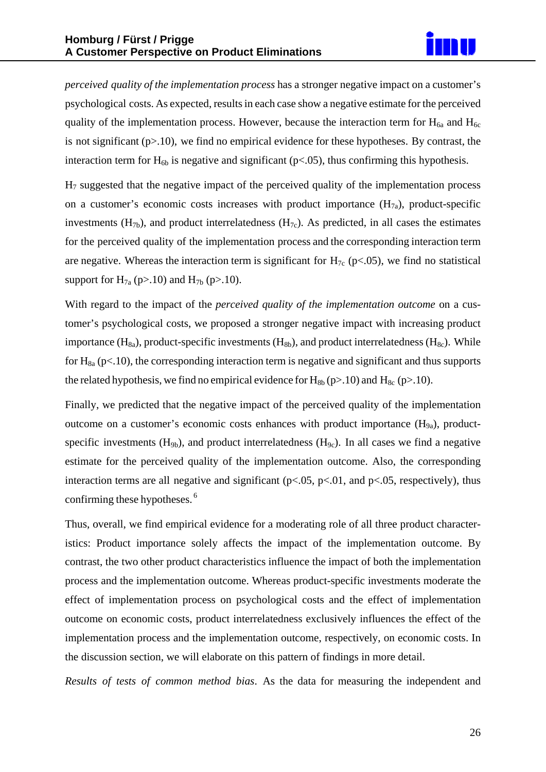

*perceived quality of the implementation process* has a stronger negative impact on a customer's psychological costs. As expected, resultsin each case show a negative estimate for the perceived quality of the implementation process. However, because the interaction term for  $H_{6a}$  and  $H_{6c}$ is not significant  $(p>10)$ , we find no empirical evidence for these hypotheses. By contrast, the interaction term for  $H_{6b}$  is negative and significant (p<.05), thus confirming this hypothesis.

 $H<sub>7</sub>$  suggested that the negative impact of the perceived quality of the implementation process on a customer's economic costs increases with product importance  $(H_{7a})$ , product-specific investments  $(H_{7b})$ , and product interrelatedness  $(H_{7c})$ . As predicted, in all cases the estimates for the perceived quality of the implementation process and the corresponding interaction term are negative. Whereas the interaction term is significant for  $H<sub>7c</sub>$  (p<.05), we find no statistical support for  $H_{7a}$  (p>.10) and  $H_{7b}$  (p>.10).

With regard to the impact of the *perceived quality of the implementation outcome* on a customer's psychological costs, we proposed a stronger negative impact with increasing product importance  $(H_{8a})$ , product-specific investments  $(H_{8b})$ , and product interrelatedness  $(H_{8c})$ . While for  $H_{8a}$  (p<.10), the corresponding interaction term is negative and significant and thus supports the related hypothesis, we find no empirical evidence for  $H_{8b}$  (p>.10) and  $H_{8c}$  (p>.10).

Finally, we predicted that the negative impact of the perceived quality of the implementation outcome on a customer's economic costs enhances with product importance  $(H_{9a})$ , productspecific investments  $(H_{9b})$ , and product interrelatedness  $(H_{9c})$ . In all cases we find a negative estimate for the perceived quality of the implementation outcome. Also, the corresponding interaction terms are all negative and significant ( $p<.05$ ,  $p<.01$ , and  $p<.05$ , respectively), thus confirming these hypotheses. <sup>6</sup>

Thus, overall, we find empirical evidence for a moderating role of all three product characteristics: Product importance solely affects the impact of the implementation outcome. By contrast, the two other product characteristics influence the impact of both the implementation process and the implementation outcome. Whereas product-specific investments moderate the effect of implementation process on psychological costs and the effect of implementation outcome on economic costs, product interrelatedness exclusively influences the effect of the implementation process and the implementation outcome, respectively, on economic costs. In the discussion section, we will elaborate on this pattern of findings in more detail.

*Results of tests of common method bias*. As the data for measuring the independent and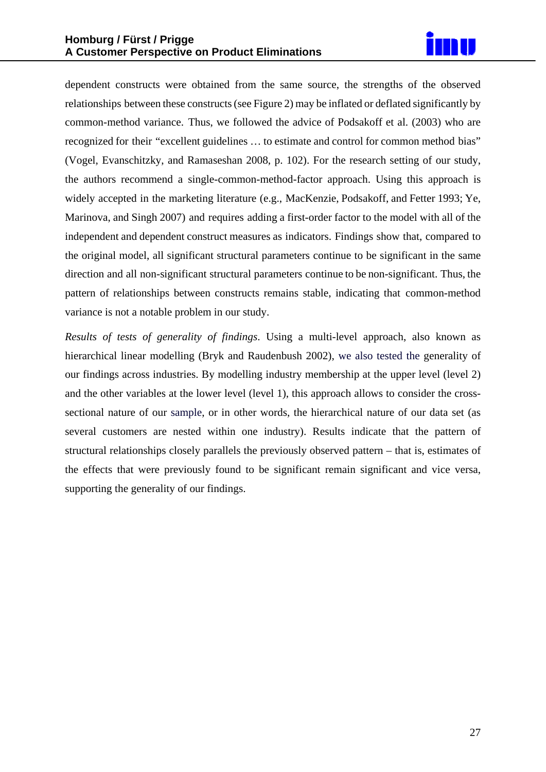

dependent constructs were obtained from the same source, the strengths of the observed relationships between these constructs(see Figure 2) may be inflated or deflated significantly by common-method variance. Thus, we followed the advice of Podsakoff et al. (2003) who are recognized for their "excellent guidelines … to estimate and control for common method bias" (Vogel, Evanschitzky, and Ramaseshan 2008, p. 102). For the research setting of our study, the authors recommend a single-common-method-factor approach. Using this approach is widely accepted in the marketing literature (e.g., MacKenzie, Podsakoff, and Fetter 1993; Ye, Marinova, and Singh 2007) and requires adding a first-order factor to the model with all of the independent and dependent construct measures as indicators. Findings show that, compared to the original model, all significant structural parameters continue to be significant in the same direction and all non-significant structural parameters continue to be non-significant. Thus, the pattern of relationships between constructs remains stable, indicating that common-method variance is not a notable problem in our study.

*Results of tests of generality of findings*. Using a multi-level approach, also known as hierarchical linear modelling (Bryk and Raudenbush 2002), we also tested the generality of our findings across industries. By modelling industry membership at the upper level (level 2) and the other variables at the lower level (level 1), this approach allows to consider the crosssectional nature of our sample, or in other words, the hierarchical nature of our data set (as several customers are nested within one industry). Results indicate that the pattern of structural relationships closely parallels the previously observed pattern – that is, estimates of the effects that were previously found to be significant remain significant and vice versa, supporting the generality of our findings.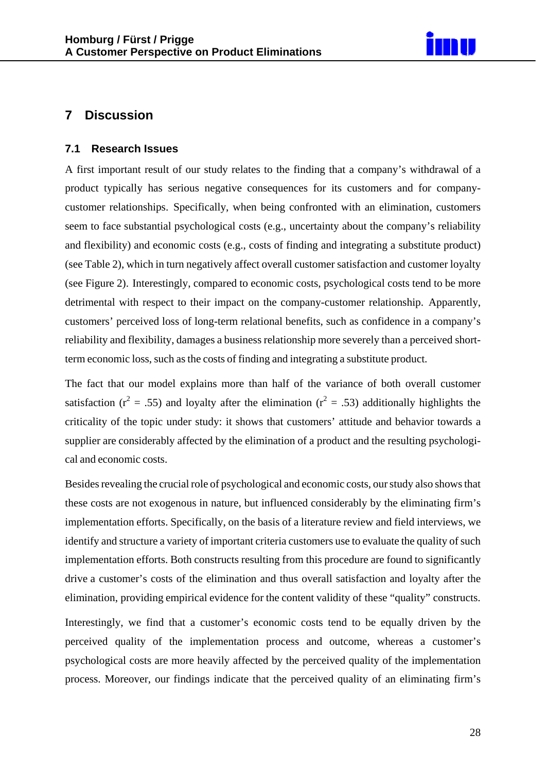

## **7 Discussion**

#### **7.1 Research Issues**

A first important result of our study relates to the finding that a company's withdrawal of a product typically has serious negative consequences for its customers and for companycustomer relationships. Specifically, when being confronted with an elimination, customers seem to face substantial psychological costs (e.g., uncertainty about the company's reliability and flexibility) and economic costs (e.g., costs of finding and integrating a substitute product) (see Table 2), which in turn negatively affect overall customer satisfaction and customer loyalty (see Figure 2). Interestingly, compared to economic costs, psychological costs tend to be more detrimental with respect to their impact on the company-customer relationship. Apparently, customers' perceived loss of long-term relational benefits, such as confidence in a company's reliability and flexibility, damages a business relationship more severely than a perceived shortterm economic loss, such as the costs of finding and integrating a substitute product.

The fact that our model explains more than half of the variance of both overall customer satisfaction ( $r^2 = .55$ ) and loyalty after the elimination ( $r^2 = .53$ ) additionally highlights the criticality of the topic under study: it shows that customers' attitude and behavior towards a supplier are considerably affected by the elimination of a product and the resulting psychological and economic costs.

Besides revealing the crucial role of psychological and economic costs, our study also shows that these costs are not exogenous in nature, but influenced considerably by the eliminating firm's implementation efforts. Specifically, on the basis of a literature review and field interviews, we identify and structure a variety of important criteria customers use to evaluate the quality of such implementation efforts. Both constructs resulting from this procedure are found to significantly drive a customer's costs of the elimination and thus overall satisfaction and loyalty after the elimination, providing empirical evidence for the content validity of these "quality" constructs.

Interestingly, we find that a customer's economic costs tend to be equally driven by the perceived quality of the implementation process and outcome, whereas a customer's psychological costs are more heavily affected by the perceived quality of the implementation process. Moreover, our findings indicate that the perceived quality of an eliminating firm's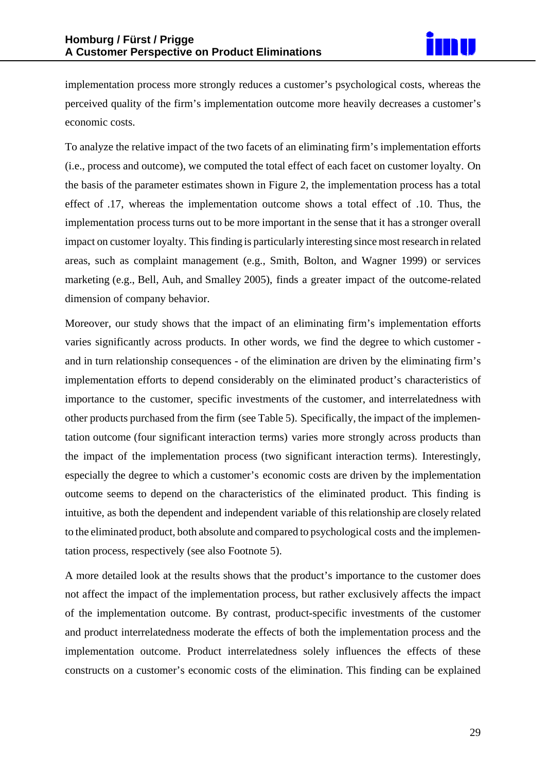

implementation process more strongly reduces a customer's psychological costs, whereas the perceived quality of the firm's implementation outcome more heavily decreases a customer's economic costs.

To analyze the relative impact of the two facets of an eliminating firm's implementation efforts (i.e., process and outcome), we computed the total effect of each facet on customer loyalty. On the basis of the parameter estimates shown in Figure 2, the implementation process has a total effect of .17, whereas the implementation outcome shows a total effect of .10. Thus, the implementation process turns out to be more important in the sense that it has a stronger overall impact on customer loyalty. Thisfinding is particularly interesting since most research in related areas, such as complaint management (e.g., Smith, Bolton, and Wagner 1999) or services marketing (e.g., Bell, Auh, and Smalley 2005), finds a greater impact of the outcome-related dimension of company behavior.

Moreover, our study shows that the impact of an eliminating firm's implementation efforts varies significantly across products. In other words, we find the degree to which customer and in turn relationship consequences - of the elimination are driven by the eliminating firm's implementation efforts to depend considerably on the eliminated product's characteristics of importance to the customer, specific investments of the customer, and interrelatedness with other products purchased from the firm (see Table 5). Specifically, the impact of the implementation outcome (four significant interaction terms) varies more strongly across products than the impact of the implementation process (two significant interaction terms). Interestingly, especially the degree to which a customer's economic costs are driven by the implementation outcome seems to depend on the characteristics of the eliminated product. This finding is intuitive, as both the dependent and independent variable of thisrelationship are closely related to the eliminated product, both absolute and compared to psychological costs and the implementation process, respectively (see also Footnote 5).

A more detailed look at the results shows that the product's importance to the customer does not affect the impact of the implementation process, but rather exclusively affects the impact of the implementation outcome. By contrast, product-specific investments of the customer and product interrelatedness moderate the effects of both the implementation process and the implementation outcome. Product interrelatedness solely influences the effects of these constructs on a customer's economic costs of the elimination. This finding can be explained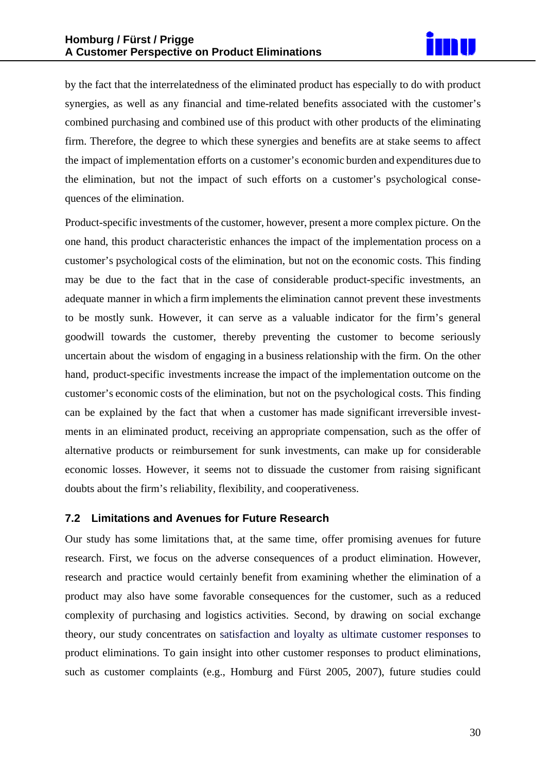

by the fact that the interrelatedness of the eliminated product has especially to do with product synergies, as well as any financial and time-related benefits associated with the customer's combined purchasing and combined use of this product with other products of the eliminating firm. Therefore, the degree to which these synergies and benefits are at stake seems to affect the impact of implementation efforts on a customer's economic burden and expenditures due to the elimination, but not the impact of such efforts on a customer's psychological consequences of the elimination.

Product-specific investments of the customer, however, present a more complex picture. On the one hand, this product characteristic enhances the impact of the implementation process on a customer's psychological costs of the elimination, but not on the economic costs. This finding may be due to the fact that in the case of considerable product-specific investments, an adequate manner in which a firm implements the elimination cannot prevent these investments to be mostly sunk. However, it can serve as a valuable indicator for the firm's general goodwill towards the customer, thereby preventing the customer to become seriously uncertain about the wisdom of engaging in a business relationship with the firm. On the other hand, product-specific investments increase the impact of the implementation outcome on the customer's economic costs of the elimination, but not on the psychological costs. This finding can be explained by the fact that when a customer has made significant irreversible investments in an eliminated product, receiving an appropriate compensation, such as the offer of alternative products or reimbursement for sunk investments, can make up for considerable economic losses. However, it seems not to dissuade the customer from raising significant doubts about the firm's reliability, flexibility, and cooperativeness.

#### **7.2 Limitations and Avenues for Future Research**

Our study has some limitations that, at the same time, offer promising avenues for future research. First, we focus on the adverse consequences of a product elimination. However, research and practice would certainly benefit from examining whether the elimination of a product may also have some favorable consequences for the customer, such as a reduced complexity of purchasing and logistics activities. Second, by drawing on social exchange theory, our study concentrates on satisfaction and loyalty as ultimate customer responses to product eliminations. To gain insight into other customer responses to product eliminations, such as customer complaints (e.g., Homburg and Fürst 2005, 2007), future studies could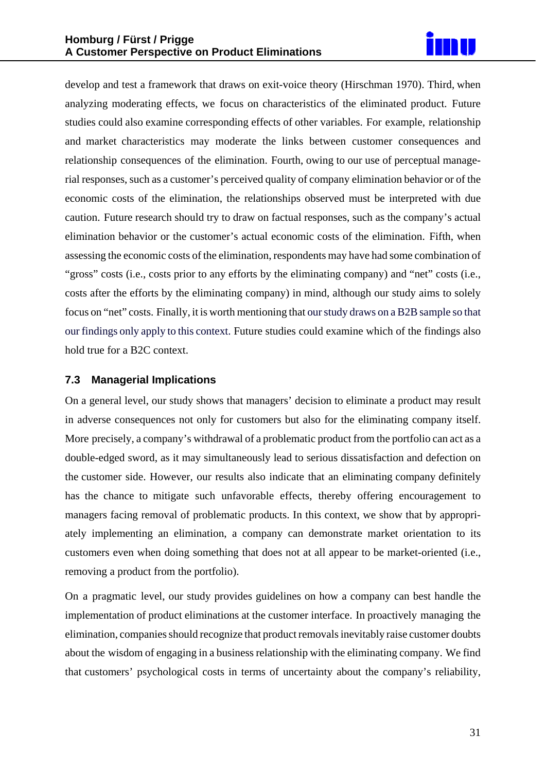

develop and test a framework that draws on exit-voice theory (Hirschman 1970). Third, when analyzing moderating effects, we focus on characteristics of the eliminated product. Future studies could also examine corresponding effects of other variables. For example, relationship and market characteristics may moderate the links between customer consequences and relationship consequences of the elimination. Fourth, owing to our use of perceptual managerial responses, such as a customer's perceived quality of company elimination behavior or of the economic costs of the elimination, the relationships observed must be interpreted with due caution. Future research should try to draw on factual responses, such as the company's actual elimination behavior or the customer's actual economic costs of the elimination. Fifth, when assessing the economic costs of the elimination, respondents may have had some combination of "gross" costs (i.e., costs prior to any efforts by the eliminating company) and "net" costs (i.e., costs after the efforts by the eliminating company) in mind, although our study aims to solely focus on "net" costs. Finally, it is worth mentioning that ourstudy draws on a B2B sample so that our findings only apply to this context. Future studies could examine which of the findings also hold true for a B2C context.

#### **7.3 Managerial Implications**

On a general level, our study shows that managers' decision to eliminate a product may result in adverse consequences not only for customers but also for the eliminating company itself. More precisely, a company's withdrawal of a problematic product from the portfolio can act as a double-edged sword, as it may simultaneously lead to serious dissatisfaction and defection on the customer side. However, our results also indicate that an eliminating company definitely has the chance to mitigate such unfavorable effects, thereby offering encouragement to managers facing removal of problematic products. In this context, we show that by appropriately implementing an elimination, a company can demonstrate market orientation to its customers even when doing something that does not at all appear to be market-oriented (i.e., removing a product from the portfolio).

On a pragmatic level, our study provides guidelines on how a company can best handle the implementation of product eliminations at the customer interface. In proactively managing the elimination, companies should recognize that product removals inevitably raise customer doubts about the wisdom of engaging in a business relationship with the eliminating company. We find that customers' psychological costs in terms of uncertainty about the company's reliability,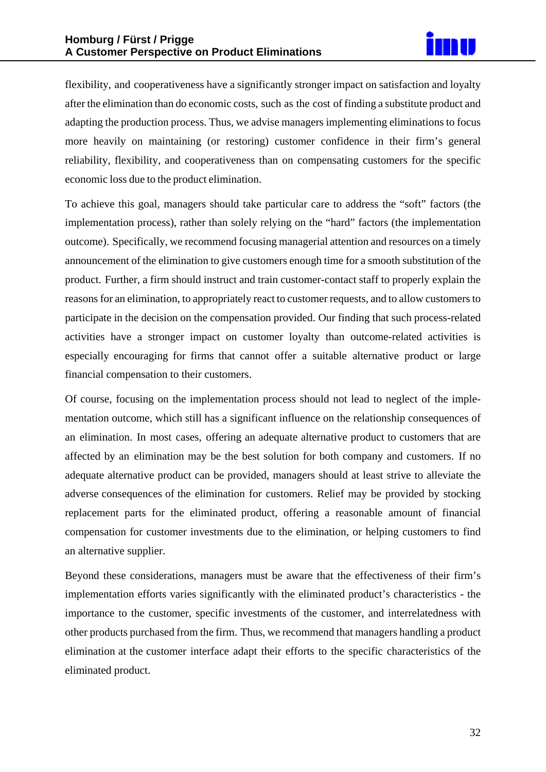

flexibility, and cooperativeness have a significantly stronger impact on satisfaction and loyalty after the elimination than do economic costs, such as the cost of finding a substitute product and adapting the production process. Thus, we advise managers implementing eliminations to focus more heavily on maintaining (or restoring) customer confidence in their firm's general reliability, flexibility, and cooperativeness than on compensating customers for the specific economic loss due to the product elimination.

To achieve this goal, managers should take particular care to address the "soft" factors (the implementation process), rather than solely relying on the "hard" factors (the implementation outcome). Specifically, we recommend focusing managerial attention and resources on a timely announcement of the elimination to give customers enough time for a smooth substitution of the product. Further, a firm should instruct and train customer-contact staff to properly explain the reasons for an elimination, to appropriately react to customer requests, and to allow customers to participate in the decision on the compensation provided. Our finding that such process-related activities have a stronger impact on customer loyalty than outcome-related activities is especially encouraging for firms that cannot offer a suitable alternative product or large financial compensation to their customers.

Of course, focusing on the implementation process should not lead to neglect of the implementation outcome, which still has a significant influence on the relationship consequences of an elimination. In most cases, offering an adequate alternative product to customers that are affected by an elimination may be the best solution for both company and customers. If no adequate alternative product can be provided, managers should at least strive to alleviate the adverse consequences of the elimination for customers. Relief may be provided by stocking replacement parts for the eliminated product, offering a reasonable amount of financial compensation for customer investments due to the elimination, or helping customers to find an alternative supplier.

Beyond these considerations, managers must be aware that the effectiveness of their firm's implementation efforts varies significantly with the eliminated product's characteristics - the importance to the customer, specific investments of the customer, and interrelatedness with other products purchased from the firm. Thus, we recommend that managers handling a product elimination at the customer interface adapt their efforts to the specific characteristics of the eliminated product.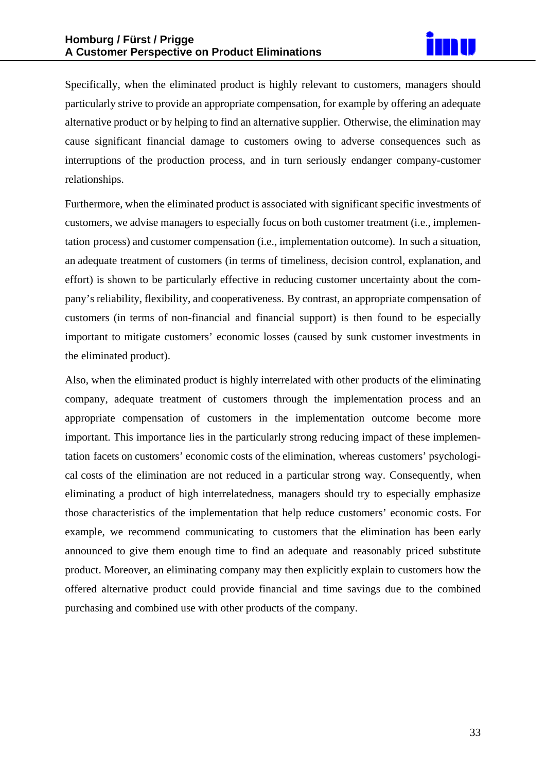

Specifically, when the eliminated product is highly relevant to customers, managers should particularly strive to provide an appropriate compensation, for example by offering an adequate alternative product or by helping to find an alternative supplier. Otherwise, the elimination may cause significant financial damage to customers owing to adverse consequences such as interruptions of the production process, and in turn seriously endanger company-customer relationships.

Furthermore, when the eliminated product is associated with significant specific investments of customers, we advise managers to especially focus on both customer treatment (i.e., implementation process) and customer compensation (i.e., implementation outcome). In such a situation, an adequate treatment of customers (in terms of timeliness, decision control, explanation, and effort) is shown to be particularly effective in reducing customer uncertainty about the company's reliability, flexibility, and cooperativeness. By contrast, an appropriate compensation of customers (in terms of non-financial and financial support) is then found to be especially important to mitigate customers' economic losses (caused by sunk customer investments in the eliminated product).

Also, when the eliminated product is highly interrelated with other products of the eliminating company, adequate treatment of customers through the implementation process and an appropriate compensation of customers in the implementation outcome become more important. This importance lies in the particularly strong reducing impact of these implementation facets on customers' economic costs of the elimination, whereas customers' psychological costs of the elimination are not reduced in a particular strong way. Consequently, when eliminating a product of high interrelatedness, managers should try to especially emphasize those characteristics of the implementation that help reduce customers' economic costs. For example, we recommend communicating to customers that the elimination has been early announced to give them enough time to find an adequate and reasonably priced substitute product. Moreover, an eliminating company may then explicitly explain to customers how the offered alternative product could provide financial and time savings due to the combined purchasing and combined use with other products of the company.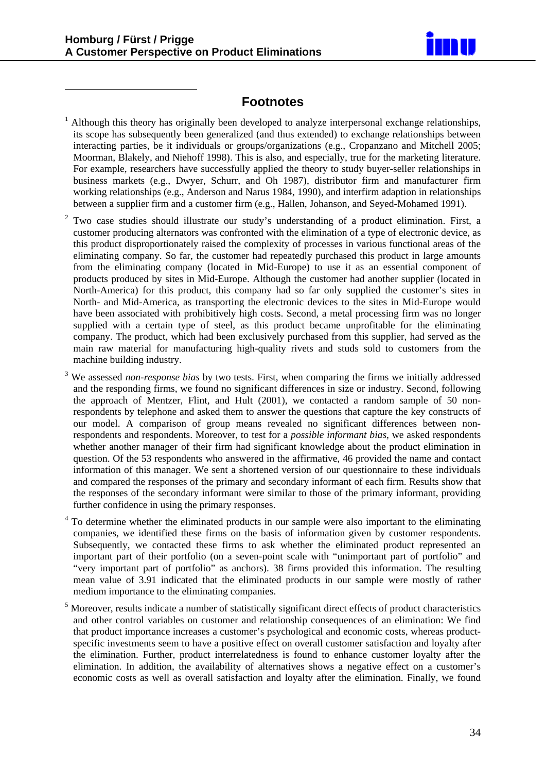<u>.</u>



### **Footnotes**

- <sup>1</sup> Although this theory has originally been developed to analyze interpersonal exchange relationships, its scope has subsequently been generalized (and thus extended) to exchange relationships between interacting parties, be it individuals or groups/organizations (e.g., Cropanzano and Mitchell 2005; Moorman, Blakely, and Niehoff 1998). This is also, and especially, true for the marketing literature. For example, researchers have successfully applied the theory to study buyer-seller relationships in business markets (e.g., Dwyer, Schurr, and Oh 1987), distributor firm and manufacturer firm working relationships (e.g., Anderson and Narus 1984, 1990), and interfirm adaption in relationships between a supplier firm and a customer firm (e.g., Hallen, Johanson, and Seyed-Mohamed 1991).
- 2 Two case studies should illustrate our study's understanding of a product elimination. First, a customer producing alternators was confronted with the elimination of a type of electronic device, as this product disproportionately raised the complexity of processes in various functional areas of the eliminating company. So far, the customer had repeatedly purchased this product in large amounts from the eliminating company (located in Mid-Europe) to use it as an essential component of products produced by sites in Mid-Europe. Although the customer had another supplier (located in North-America) for this product, this company had so far only supplied the customer's sites in North- and Mid-America, as transporting the electronic devices to the sites in Mid-Europe would have been associated with prohibitively high costs. Second, a metal processing firm was no longer supplied with a certain type of steel, as this product became unprofitable for the eliminating company. The product, which had been exclusively purchased from this supplier, had served as the main raw material for manufacturing high-quality rivets and studs sold to customers from the machine building industry.
- <sup>3</sup> We assessed *non-response bias* by two tests. First, when comparing the firms we initially addressed and the responding firms, we found no significant differences in size or industry. Second, following the approach of Mentzer, Flint, and Hult (2001), we contacted a random sample of 50 nonrespondents by telephone and asked them to answer the questions that capture the key constructs of our model. A comparison of group means revealed no significant differences between nonrespondents and respondents. Moreover, to test for a *possible informant bias*, we asked respondents whether another manager of their firm had significant knowledge about the product elimination in question. Of the 53 respondents who answered in the affirmative, 46 provided the name and contact information of this manager. We sent a shortened version of our questionnaire to these individuals and compared the responses of the primary and secondary informant of each firm. Results show that the responses of the secondary informant were similar to those of the primary informant, providing further confidence in using the primary responses.
- 4 To determine whether the eliminated products in our sample were also important to the eliminating companies, we identified these firms on the basis of information given by customer respondents. Subsequently, we contacted these firms to ask whether the eliminated product represented an important part of their portfolio (on a seven-point scale with "unimportant part of portfolio" and "very important part of portfolio" as anchors). 38 firms provided this information. The resulting mean value of 3.91 indicated that the eliminated products in our sample were mostly of rather medium importance to the eliminating companies.
- 5 Moreover, results indicate a number of statistically significant direct effects of product characteristics and other control variables on customer and relationship consequences of an elimination: We find that product importance increases a customer's psychological and economic costs, whereas productspecific investments seem to have a positive effect on overall customer satisfaction and loyalty after the elimination. Further, product interrelatedness is found to enhance customer loyalty after the elimination. In addition, the availability of alternatives shows a negative effect on a customer's economic costs as well as overall satisfaction and loyalty after the elimination. Finally, we found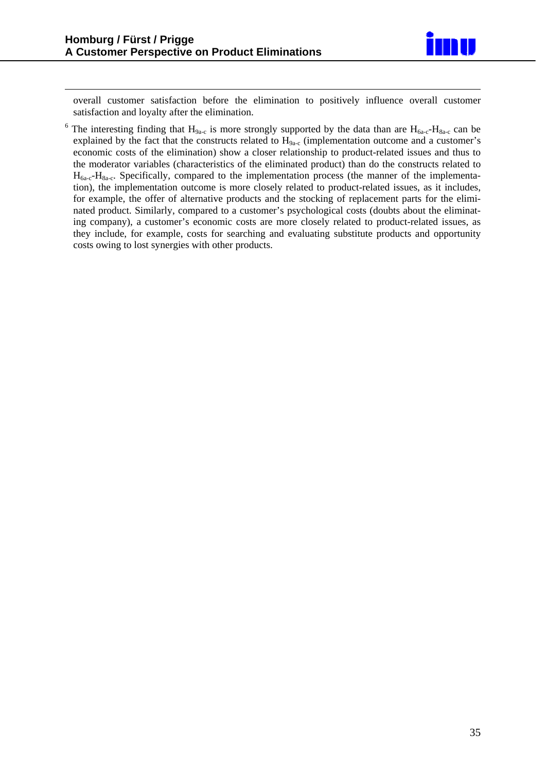<u>.</u>



overall customer satisfaction before the elimination to positively influence overall customer satisfaction and loyalty after the elimination.

<sup>6</sup> The interesting finding that  $H_{9a-c}$  is more strongly supported by the data than are  $H_{6a-c}$ - $H_{8a-c}$  can be explained by the fact that the constructs related to H<sub>9a-c</sub> (implementation outcome and a customer's economic costs of the elimination) show a closer relationship to product-related issues and thus to the moderator variables (characteristics of the eliminated product) than do the constructs related to  $H_{6a-c}$ - $H_{8a-c}$ . Specifically, compared to the implementation process (the manner of the implementation), the implementation outcome is more closely related to product-related issues, as it includes, for example, the offer of alternative products and the stocking of replacement parts for the eliminated product. Similarly, compared to a customer's psychological costs (doubts about the eliminating company), a customer's economic costs are more closely related to product-related issues, as they include, for example, costs for searching and evaluating substitute products and opportunity costs owing to lost synergies with other products.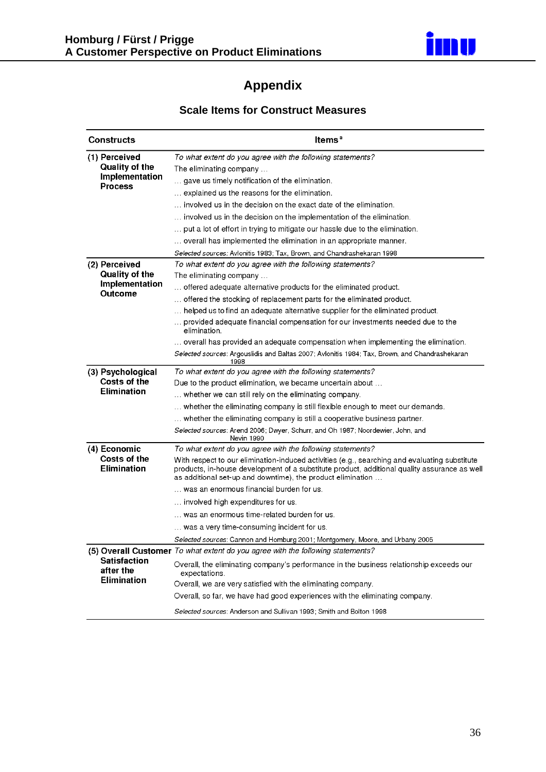

## **Appendix**

## **Scale Items for Construct Measures**

| <b>Constructs</b>                  | Items <sup>a</sup>                                                                                                                                                                                                                                           |
|------------------------------------|--------------------------------------------------------------------------------------------------------------------------------------------------------------------------------------------------------------------------------------------------------------|
| (1) Perceived<br>Quality of the    | To what extent do you agree with the following statements?                                                                                                                                                                                                   |
| Implementation                     | The eliminating company<br>gave us timely notification of the elimination.                                                                                                                                                                                   |
| <b>Process</b>                     | explained us the reasons for the elimination.                                                                                                                                                                                                                |
|                                    | involved us in the decision on the exact date of the elimination.                                                                                                                                                                                            |
|                                    | involved us in the decision on the implementation of the elimination.                                                                                                                                                                                        |
|                                    | put a lot of effort in trying to mitigate our hassle due to the elimination.                                                                                                                                                                                 |
|                                    | overall has implemented the elimination in an appropriate manner.                                                                                                                                                                                            |
|                                    | <i>Selected sources:</i> Avlonitis 1983; Tax, Brown, and Chandrashekaran 1998                                                                                                                                                                                |
| (2) Perceived                      | To what extent do you agree with the following statements?                                                                                                                                                                                                   |
| Quality of the                     | The eliminating company                                                                                                                                                                                                                                      |
| Implementation                     | offered adequate alternative products for the eliminated product.                                                                                                                                                                                            |
| <b>Outcome</b>                     | offered the stocking of replacement parts for the eliminated product.                                                                                                                                                                                        |
|                                    | helped us to find an adequate alternative supplier for the eliminated product.                                                                                                                                                                               |
|                                    | provided adequate financial compensation for our investments needed due to the<br>elimination.                                                                                                                                                               |
|                                    | overall has provided an adequate compensation when implementing the elimination.                                                                                                                                                                             |
|                                    | Selected sources: Argouslidis and Baltas 2007; Avlonitis 1984; Tax, Brown, and Chandrashekaran<br>1998                                                                                                                                                       |
| (3) Psychological                  | To what extent do you agree with the following statements?                                                                                                                                                                                                   |
| Costs of the                       | Due to the product elimination, we became uncertain about                                                                                                                                                                                                    |
| <b>Elimination</b>                 | whether we can still rely on the eliminating company.                                                                                                                                                                                                        |
|                                    | whether the eliminating company is still flexible enough to meet our demands.                                                                                                                                                                                |
|                                    | whether the eliminating company is still a cooperative business partner.                                                                                                                                                                                     |
|                                    | Selected sources: Arend 2006; Dwyer, Schurr, and Oh 1987; Noordewier, John, and<br>Nevin 1990                                                                                                                                                                |
| (4) Economic                       | To what extent do you agree with the following statements?                                                                                                                                                                                                   |
| Costs of the<br><b>Elimination</b> | With respect to our elimination-induced activities (e.g., searching and evaluating substitute<br>products, in-house development of a substitute product, additional quality assurance as well<br>as additional set-up and downtime), the product elimination |
|                                    | was an enormous financial burden for us.                                                                                                                                                                                                                     |
|                                    | involved high expenditures for us.                                                                                                                                                                                                                           |
|                                    | was an enormous time-related burden for us.                                                                                                                                                                                                                  |
|                                    | was a very time-consuming incident for us.                                                                                                                                                                                                                   |
|                                    | Selected sources: Cannon and Homburg 2001; Montgomery, Moore, and Urbany 2005                                                                                                                                                                                |
|                                    | (5) Overall Customer To what extent do you agree with the following statements?                                                                                                                                                                              |
| <b>Satisfaction</b><br>after the   | Overall, the eliminating company's performance in the business relationship exceeds our<br>expectations.                                                                                                                                                     |
| <b>Elimination</b>                 | Overall, we are very satisfied with the eliminating company.                                                                                                                                                                                                 |
|                                    | Overall, so far, we have had good experiences with the eliminating company.                                                                                                                                                                                  |
|                                    | Selected sources: Anderson and Sullivan 1993; Smith and Bolton 1998                                                                                                                                                                                          |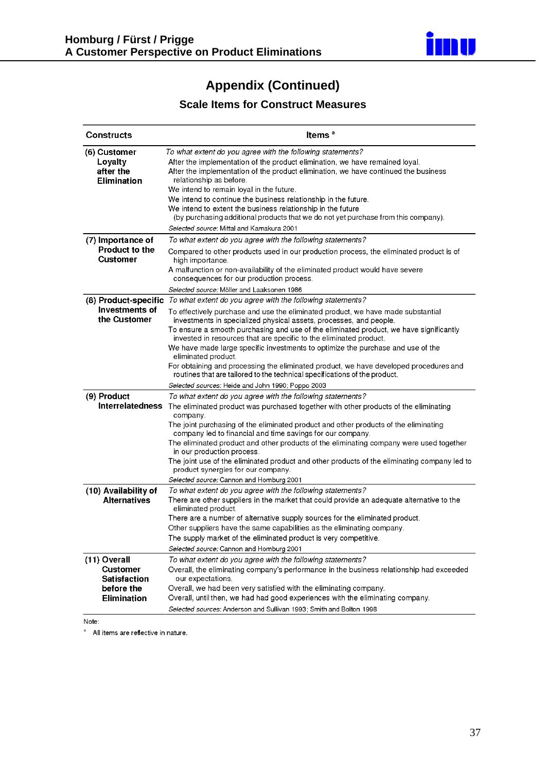

## **Appendix (Continued)**

## **Scale Items for Construct Measures**

| <b>Constructs</b>                                             | Items <sup>a</sup>                                                                                                                                                                                                                                                                                                                                                                                                               |  |  |  |  |  |
|---------------------------------------------------------------|----------------------------------------------------------------------------------------------------------------------------------------------------------------------------------------------------------------------------------------------------------------------------------------------------------------------------------------------------------------------------------------------------------------------------------|--|--|--|--|--|
| (6) Customer<br>Loyalty<br>after the<br><b>Elimination</b>    | To what extent do you agree with the following statements?<br>After the implementation of the product elimination, we have remained loyal.<br>After the implementation of the product elimination, we have continued the business<br>relationship as before.<br>We intend to remain loyal in the future.                                                                                                                         |  |  |  |  |  |
|                                                               | We intend to continue the business relationship in the future.<br>We intend to extent the business relationship in the future<br>(by purchasing additional products that we do not yet purchase from this company).                                                                                                                                                                                                              |  |  |  |  |  |
|                                                               | <i>Selected source</i> : Mittal and Kamakura 2001                                                                                                                                                                                                                                                                                                                                                                                |  |  |  |  |  |
| (7) Importance of<br><b>Product to the</b><br>Customer        | To what extent do you agree with the following statements?<br>Compared to other products used in our production process, the eliminated product is of<br>high importance.<br>A malfunction or non-availability of the eliminated product would have severe<br>consequences for our production process.                                                                                                                           |  |  |  |  |  |
|                                                               | Selected source: Möller and Laaksonen 1986                                                                                                                                                                                                                                                                                                                                                                                       |  |  |  |  |  |
| (8) Product-specific                                          | To what extent do you agree with the following statements?                                                                                                                                                                                                                                                                                                                                                                       |  |  |  |  |  |
| <b>Investments of</b><br>the Customer                         | To effectively purchase and use the eliminated product, we have made substantial<br>investments in specialized physical assets, processes, and people.<br>To ensure a smooth purchasing and use of the eliminated product, we have significantly<br>invested in resources that are specific to the eliminated product.<br>We have made large specific investments to optimize the purchase and use of the<br>eliminated product. |  |  |  |  |  |
|                                                               | For obtaining and processing the eliminated product, we have developed procedures and<br>routines that are tailored to the technical specifications of the product.                                                                                                                                                                                                                                                              |  |  |  |  |  |
|                                                               | <i>Selected sources</i> : Heide and John 1990; Poppo 2003                                                                                                                                                                                                                                                                                                                                                                        |  |  |  |  |  |
| (9) Product<br><b>Interrelatedness</b>                        | To what extent do you agree with the following statements?<br>The eliminated product was purchased together with other products of the eliminating<br>company.<br>The joint purchasing of the eliminated product and other products of the eliminating                                                                                                                                                                           |  |  |  |  |  |
|                                                               | company led to financial and time savings for our company.<br>The eliminated product and other products of the eliminating company were used together<br>in our production process.<br>The joint use of the eliminated product and other products of the eliminating company led to                                                                                                                                              |  |  |  |  |  |
|                                                               | product synergies for our company.<br>Selected source: Cannon and Homburg 2001                                                                                                                                                                                                                                                                                                                                                   |  |  |  |  |  |
| (10) Availability of                                          | To what extent do you agree with the following statements?                                                                                                                                                                                                                                                                                                                                                                       |  |  |  |  |  |
| <b>Alternatives</b>                                           | There are other suppliers in the market that could provide an adequate alternative to the<br>eliminated product.                                                                                                                                                                                                                                                                                                                 |  |  |  |  |  |
|                                                               | There are a number of alternative supply sources for the eliminated product.                                                                                                                                                                                                                                                                                                                                                     |  |  |  |  |  |
|                                                               | Other suppliers have the same capabilities as the eliminating company.                                                                                                                                                                                                                                                                                                                                                           |  |  |  |  |  |
|                                                               | The supply market of the eliminated product is very competitive                                                                                                                                                                                                                                                                                                                                                                  |  |  |  |  |  |
|                                                               | Selected source: Cannon and Homburg 2001                                                                                                                                                                                                                                                                                                                                                                                         |  |  |  |  |  |
| (11) Overall<br><b>Customer</b><br>Satisfaction<br>before the | To what extent do you agree with the following statements?<br>Overall, the eliminating company's performance in the business relationship had exceeded<br>our expectations.<br>Overall, we had been very satisfied with the eliminating company.                                                                                                                                                                                 |  |  |  |  |  |
| <b>Elimination</b>                                            | Overall, until then, we had had good experiences with the eliminating company.<br>Selected sources: Anderson and Sullivan 1993; Smith and Bolton 1998                                                                                                                                                                                                                                                                            |  |  |  |  |  |

Note:

<sup>a</sup> All items are reflective in nature.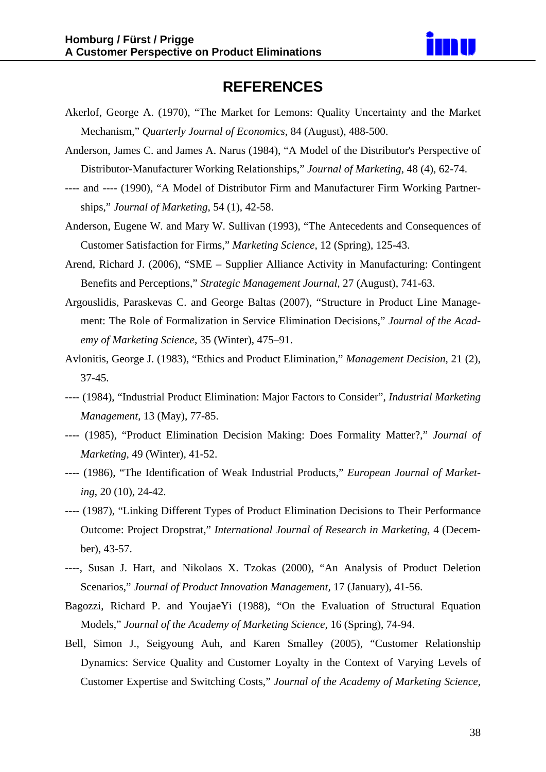

## **REFERENCES**

- Akerlof, George A. (1970), "The Market for Lemons: Quality Uncertainty and the Market Mechanism," *Quarterly Journal of Economics*, 84 (August), 488-500.
- Anderson, James C. and James A. Narus (1984), "A Model of the Distributor's Perspective of Distributor-Manufacturer Working Relationships," *Journal of Marketing*, 48 (4), 62-74.
- ---- and ---- (1990), "A Model of Distributor Firm and Manufacturer Firm Working Partnerships," *Journal of Marketing*, 54 (1), 42-58.
- Anderson, Eugene W. and Mary W. Sullivan (1993), "The Antecedents and Consequences of Customer Satisfaction for Firms," *Marketing Science*, 12 (Spring), 125-43.
- Arend, Richard J. (2006), "SME Supplier Alliance Activity in Manufacturing: Contingent Benefits and Perceptions," *Strategic Management Journal,* 27 (August), 741-63.
- Argouslidis, Paraskevas C. and George Baltas (2007), "Structure in Product Line Management: The Role of Formalization in Service Elimination Decisions," *Journal of the Academy of Marketing Science*, 35 (Winter), 475–91.
- Avlonitis, George J. (1983), "Ethics and Product Elimination," *Management Decision,* 21 (2), 37-45.
- ---- (1984), "Industrial Product Elimination: Major Factors to Consider", *Industrial Marketing Management*, 13 (May), 77-85.
- ---- (1985), "Product Elimination Decision Making: Does Formality Matter?," *Journal of Marketing,* 49 (Winter), 41-52.
- ---- (1986), "The Identification of Weak Industrial Products," *European Journal of Marketing*, 20 (10), 24-42.
- ---- (1987), "Linking Different Types of Product Elimination Decisions to Their Performance Outcome: Project Dropstrat," *International Journal of Research in Marketing,* 4 (December), 43-57.
- ----, Susan J. Hart, and Nikolaos X. Tzokas (2000), "An Analysis of Product Deletion Scenarios," *Journal of Product Innovation Management,* 17 (January), 41-56.
- Bagozzi, Richard P. and YoujaeYi (1988), "On the Evaluation of Structural Equation Models," *Journal of the Academy of Marketing Science,* 16 (Spring), 74-94.
- Bell, Simon J., Seigyoung Auh, and Karen Smalley (2005), "Customer Relationship Dynamics: Service Quality and Customer Loyalty in the Context of Varying Levels of Customer Expertise and Switching Costs," *Journal of the Academy of Marketing Science,*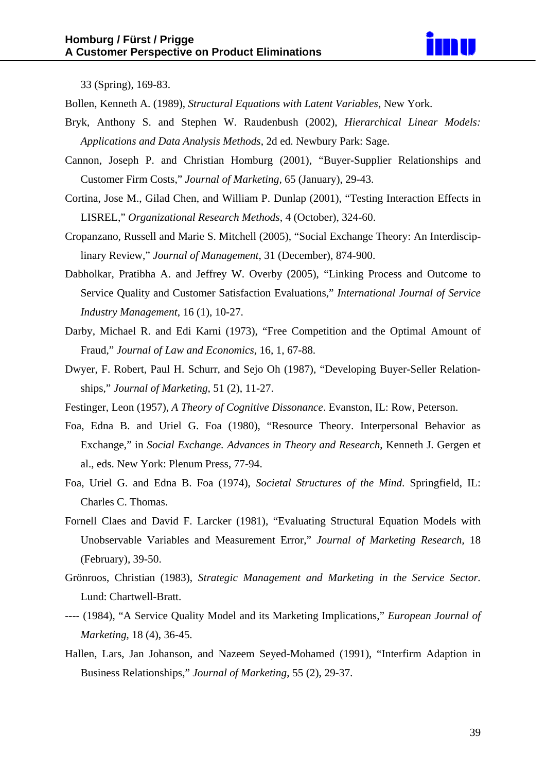

33 (Spring), 169-83.

Bollen, Kenneth A. (1989), *Structural Equations with Latent Variables*, New York.

- Bryk, Anthony S. and Stephen W. Raudenbush (2002), *Hierarchical Linear Models: Applications and Data Analysis Methods*, 2d ed. Newbury Park: Sage.
- Cannon, Joseph P. and Christian Homburg (2001), "Buyer-Supplier Relationships and Customer Firm Costs," *Journal of Marketing,* 65 (January), 29-43.
- Cortina, Jose M., Gilad Chen, and William P. Dunlap (2001), "Testing Interaction Effects in LISREL," *Organizational Research Methods*, 4 (October), 324-60.
- Cropanzano, Russell and Marie S. Mitchell (2005), "Social Exchange Theory: An Interdisciplinary Review," *Journal of Management*, 31 (December), 874-900.
- Dabholkar, Pratibha A. and Jeffrey W. Overby (2005), "Linking Process and Outcome to Service Quality and Customer Satisfaction Evaluations," *International Journal of Service Industry Management*, 16 (1), 10-27.
- Darby, Michael R. and Edi Karni (1973), "Free Competition and the Optimal Amount of Fraud," *Journal of Law and Economics*, 16, 1, 67-88.
- Dwyer, F. Robert, Paul H. Schurr, and Sejo Oh (1987), "Developing Buyer-Seller Relationships," *Journal of Marketing*, 51 (2), 11-27.
- Festinger, Leon (1957), *A Theory of Cognitive Dissonance*. Evanston, IL: Row, Peterson.
- Foa, Edna B. and Uriel G. Foa (1980), "Resource Theory. Interpersonal Behavior as Exchange," in *Social Exchange. Advances in Theory and Research*, Kenneth J. Gergen et al., eds. New York: Plenum Press, 77-94.
- Foa, Uriel G. and Edna B. Foa (1974), *Societal Structures of the Mind*. Springfield, IL: Charles C. Thomas.
- Fornell Claes and David F. Larcker (1981), "Evaluating Structural Equation Models with Unobservable Variables and Measurement Error," *Journal of Marketing Research,* 18 (February), 39-50.
- Grönroos, Christian (1983), *Strategic Management and Marketing in the Service Sector.* Lund: Chartwell-Bratt.
- ---- (1984), "A Service Quality Model and its Marketing Implications," *European Journal of Marketing,* 18 (4), 36-45.
- Hallen, Lars, Jan Johanson, and Nazeem Seyed-Mohamed (1991), "Interfirm Adaption in Business Relationships," *Journal of Marketing*, 55 (2), 29-37.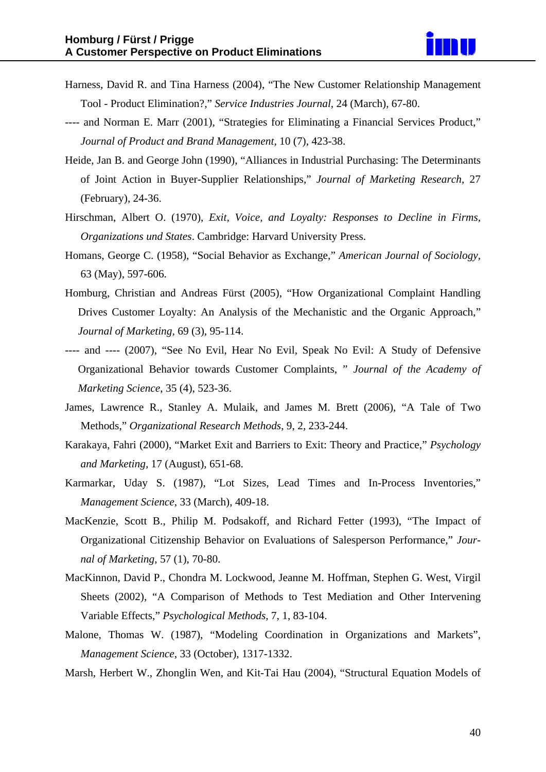- Harness, David R. and Tina Harness (2004), "The New Customer Relationship Management Tool - Product Elimination?," *Service Industries Journal*, 24 (March), 67-80.
- ---- and Norman E. Marr (2001), "Strategies for Eliminating a Financial Services Product," *Journal of Product and Brand Management,* 10 (7), 423-38.
- Heide, Jan B. and George John (1990), "Alliances in Industrial Purchasing: The Determinants of Joint Action in Buyer-Supplier Relationships," *Journal of Marketing Research*, 27 (February), 24-36.
- Hirschman, Albert O. (1970), *Exit, Voice, and Loyalty: Responses to Decline in Firms, Organizations und States*. Cambridge: Harvard University Press.
- Homans, George C. (1958), "Social Behavior as Exchange," *American Journal of Sociology,* 63 (May), 597-606.
- Homburg, Christian and Andreas Fürst (2005), "How Organizational Complaint Handling Drives Customer Loyalty: An Analysis of the Mechanistic and the Organic Approach," *Journal of Marketing,* 69 (3), 95-114.
- ---- and ---- (2007), "See No Evil, Hear No Evil, Speak No Evil: A Study of Defensive Organizational Behavior towards Customer Complaints, " *Journal of the Academy of Marketing Science*, 35 (4), 523-36.
- James, Lawrence R., Stanley A. Mulaik, and James M. Brett (2006), "A Tale of Two Methods," *Organizational Research Methods*, 9, 2, 233-244.
- Karakaya, Fahri (2000), "Market Exit and Barriers to Exit: Theory and Practice," *Psychology and Marketing,* 17 (August), 651-68.
- Karmarkar, Uday S. (1987), "Lot Sizes, Lead Times and In-Process Inventories," *Management Science*, 33 (March), 409-18.
- MacKenzie, Scott B., Philip M. Podsakoff, and Richard Fetter (1993), "The Impact of Organizational Citizenship Behavior on Evaluations of Salesperson Performance," *Journal of Marketing*, 57 (1), 70-80.
- MacKinnon, David P., Chondra M. Lockwood, Jeanne M. Hoffman, Stephen G. West, Virgil Sheets (2002), "A Comparison of Methods to Test Mediation and Other Intervening Variable Effects," *Psychological Methods*, 7, 1, 83-104.
- Malone, Thomas W. (1987), "Modeling Coordination in Organizations and Markets", *Management Science*, 33 (October), 1317-1332.
- Marsh, Herbert W., Zhonglin Wen, and Kit-Tai Hau (2004), "Structural Equation Models of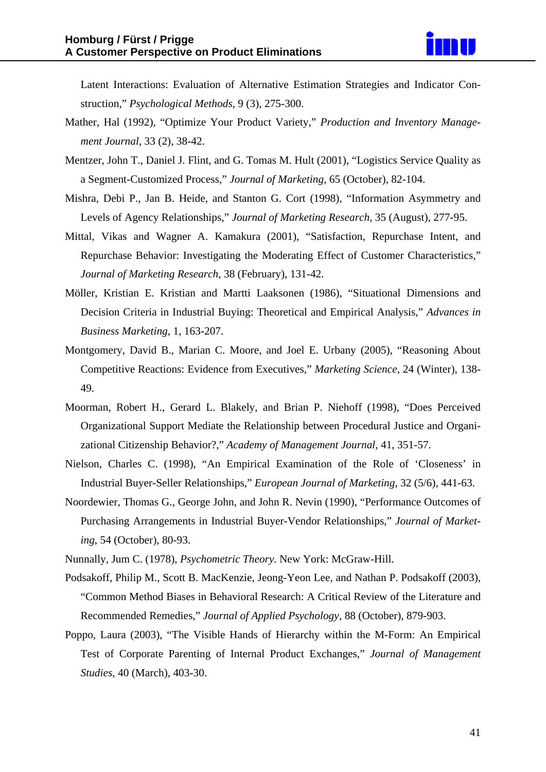Latent Interactions: Evaluation of Alternative Estimation Strategies and Indicator Construction," *Psychological Methods*, 9 (3), 275-300.

- Mather, Hal (1992), "Optimize Your Product Variety," *Production and Inventory Management Journal,* 33 (2), 38-42.
- Mentzer, John T., Daniel J. Flint, and G. Tomas M. Hult (2001), "Logistics Service Quality as a Segment-Customized Process," *Journal of Marketing,* 65 (October), 82-104.
- Mishra, Debi P., Jan B. Heide, and Stanton G. Cort (1998), "Information Asymmetry and Levels of Agency Relationships," *Journal of Marketing Research,* 35 (August), 277-95.
- Mittal, Vikas and Wagner A. Kamakura (2001), "Satisfaction, Repurchase Intent, and Repurchase Behavior: Investigating the Moderating Effect of Customer Characteristics," *Journal of Marketing Research*, 38 (February), 131-42.
- Möller, Kristian E. Kristian and Martti Laaksonen (1986), "Situational Dimensions and Decision Criteria in Industrial Buying: Theoretical and Empirical Analysis," *Advances in Business Marketing*, 1, 163-207.
- Montgomery, David B., Marian C. Moore, and Joel E. Urbany (2005), "Reasoning About Competitive Reactions: Evidence from Executives," *Marketing Science,* 24 (Winter), 138- 49.
- Moorman, Robert H., Gerard L. Blakely, and Brian P. Niehoff (1998), "Does Perceived Organizational Support Mediate the Relationship between Procedural Justice and Organizational Citizenship Behavior?," *Academy of Management Journal*, 41, 351-57.
- Nielson, Charles C. (1998), "An Empirical Examination of the Role of 'Closeness' in Industrial Buyer-Seller Relationships," *European Journal of Marketing*, 32 (5/6), 441-63.
- Noordewier, Thomas G., George John, and John R. Nevin (1990), "Performance Outcomes of Purchasing Arrangements in Industrial Buyer-Vendor Relationships," *Journal of Marketing*, 54 (October), 80-93.
- Nunnally, Jum C. (1978), *Psychometric Theory.* New York: McGraw-Hill.
- Podsakoff, Philip M., Scott B. MacKenzie, Jeong-Yeon Lee, and Nathan P. Podsakoff (2003), "Common Method Biases in Behavioral Research: A Critical Review of the Literature and Recommended Remedies," *Journal of Applied Psychology*, 88 (October), 879-903.
- Poppo, Laura (2003), "The Visible Hands of Hierarchy within the M-Form: An Empirical Test of Corporate Parenting of Internal Product Exchanges," *Journal of Management Studies*, 40 (March), 403-30.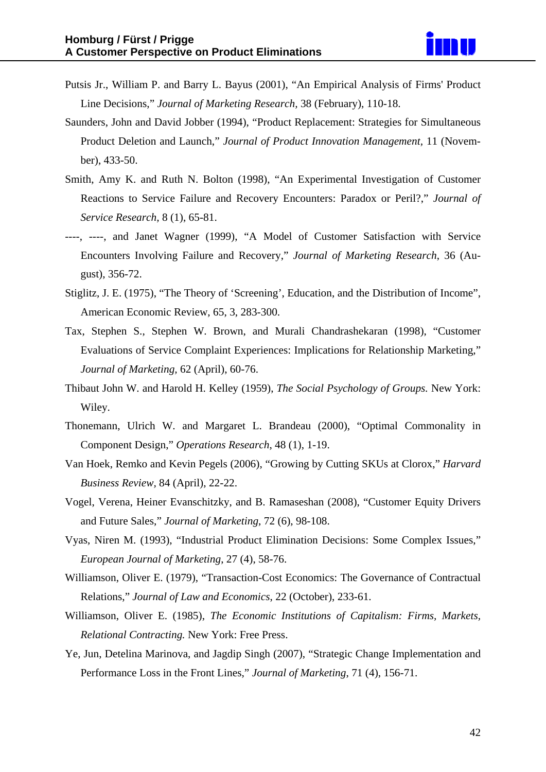- Putsis Jr., William P. and Barry L. Bayus (2001), "An Empirical Analysis of Firms' Product Line Decisions," *Journal of Marketing Research,* 38 (February), 110-18.
- Saunders, John and David Jobber (1994), "Product Replacement: Strategies for Simultaneous Product Deletion and Launch," *Journal of Product Innovation Management,* 11 (November), 433-50.
- Smith, Amy K. and Ruth N. Bolton (1998), "An Experimental Investigation of Customer Reactions to Service Failure and Recovery Encounters: Paradox or Peril?," *Journal of Service Research,* 8 (1), 65-81.
- ----, ----, and Janet Wagner (1999), "A Model of Customer Satisfaction with Service Encounters Involving Failure and Recovery," *Journal of Marketing Research*, 36 (August), 356-72.
- Stiglitz, J. E. (1975), "The Theory of 'Screening', Education, and the Distribution of Income", American Economic Review, 65, 3, 283-300.
- Tax, Stephen S., Stephen W. Brown, and Murali Chandrashekaran (1998), "Customer Evaluations of Service Complaint Experiences: Implications for Relationship Marketing," *Journal of Marketing,* 62 (April), 60-76.
- Thibaut John W. and Harold H. Kelley (1959), *The Social Psychology of Groups.* New York: Wiley.
- Thonemann, Ulrich W. and Margaret L. Brandeau (2000), "Optimal Commonality in Component Design," *Operations Research*, 48 (1), 1-19.
- Van Hoek, Remko and Kevin Pegels (2006), "Growing by Cutting SKUs at Clorox," *Harvard Business Review,* 84 (April), 22-22.
- Vogel, Verena, Heiner Evanschitzky, and B. Ramaseshan (2008), "Customer Equity Drivers and Future Sales," *Journal of Marketing*, 72 (6), 98-108.
- Vyas, Niren M. (1993), "Industrial Product Elimination Decisions: Some Complex Issues," *European Journal of Marketing*, 27 (4), 58-76.
- Williamson, Oliver E. (1979), "Transaction-Cost Economics: The Governance of Contractual Relations," *Journal of Law and Economics*, 22 (October), 233-61.
- Williamson, Oliver E. (1985), *The Economic Institutions of Capitalism: Firms, Markets, Relational Contracting.* New York: Free Press.
- Ye, Jun, Detelina Marinova, and Jagdip Singh (2007), "Strategic Change Implementation and Performance Loss in the Front Lines," *Journal of Marketing*, 71 (4), 156-71.